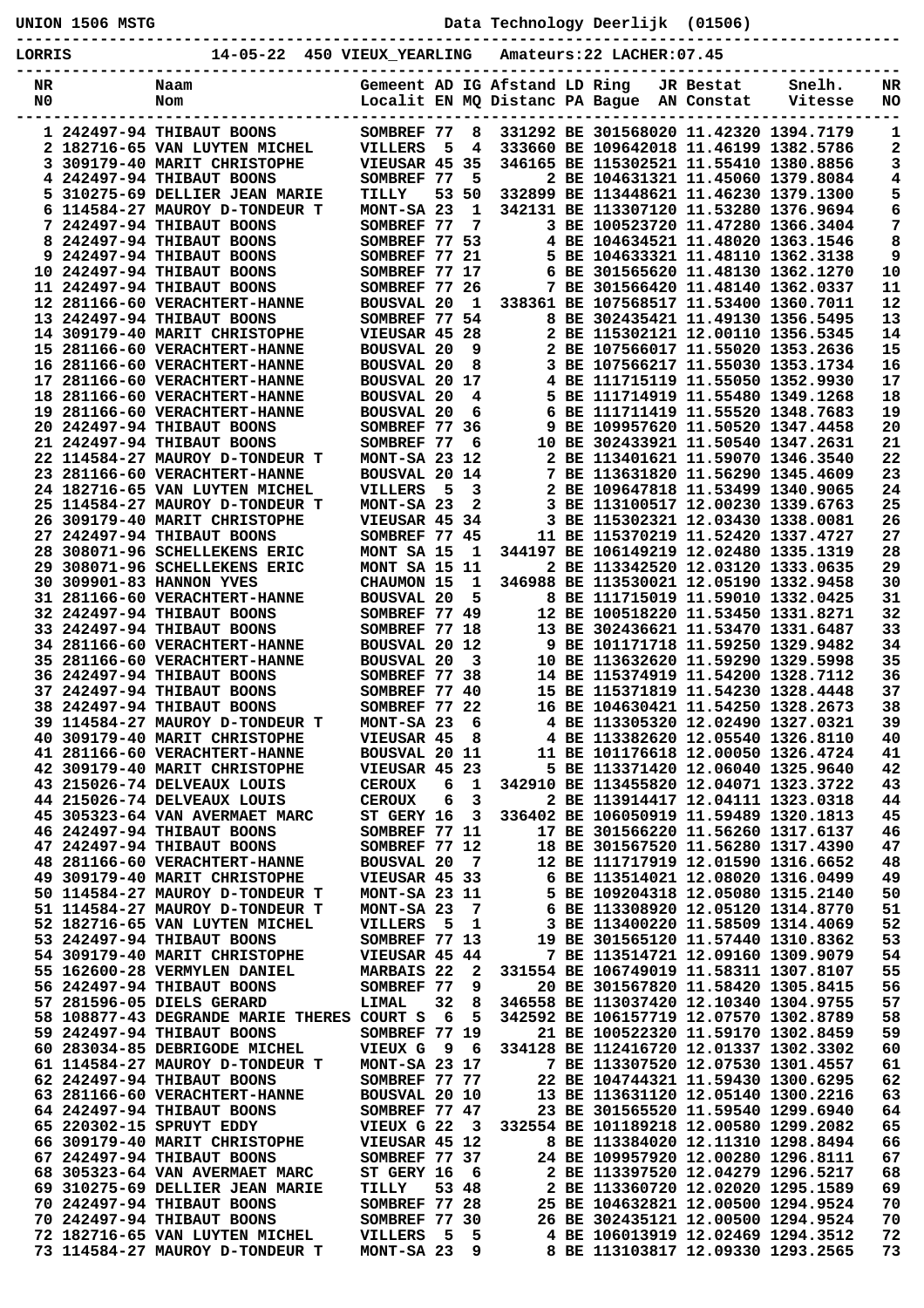**UNION 1506 MSTG Data Technology Deerlijk (01506)**

**----------------------------------------------------------------------------------------------- LORRIS 14-05-22 450 VIEUX\_YEARLING Amateurs:22 LACHER:07.45**

| פדאא∩ת   | 14-09-44<br>≖ລບ                                                       | ATPOV TEWNTIMA                     |        |                |                               | Allaceurs: 22 LACHER: 07.45                                                 |           |                   |          |
|----------|-----------------------------------------------------------------------|------------------------------------|--------|----------------|-------------------------------|-----------------------------------------------------------------------------|-----------|-------------------|----------|
| NR<br>N0 | Naam<br>Nom                                                           |                                    |        |                | Gemeent AD IG Afstand LD Ring | Localit EN MQ Distanc PA Bague AN Constat                                   | JR Bestat | Snelh.<br>Vitesse | NR<br>NO |
|          | 1 242497-94 THIBAUT BOONS                                             | SOMBREF 77                         |        | 8              |                               | 331292 BE 301568020 11.42320 1394.7179                                      |           |                   | 1        |
|          | 2 182716-65 VAN LUYTEN MICHEL                                         | <b>VILLERS</b>                     | 5      | 4              |                               | 333660 BE 109642018 11.46199 1382.5786                                      |           |                   | 2        |
|          | 3 309179-40 MARIT CHRISTOPHE                                          | VIEUSAR 45 35                      |        |                |                               | 346165 BE 115302521 11.55410 1380.8856                                      |           |                   | 3        |
|          | 4 242497-94 THIBAUT BOONS                                             | SOMBREF 77                         |        | 5              |                               | 2 BE 104631321 11.45060 1379.8084                                           |           |                   | 4        |
|          | 5 310275-69 DELLIER JEAN MARIE                                        | TILLY                              | 53     | 50             |                               | 332899 BE 113448621 11.46230 1379.1300                                      |           |                   | 5        |
|          | 6 114584-27 MAUROY D-TONDEUR T                                        | MONT-SA 23                         |        | 1              |                               | 342131 BE 113307120 11.53280 1376.9694                                      |           |                   | 6        |
| 8        | 7 242497-94 THIBAUT BOONS<br>242497-94 THIBAUT BOONS                  | SOMBREF 77<br>SOMBREF 77 53        |        | 7              |                               | 3 BE 100523720 11.47280 1366.3404<br>4 BE 104634521 11.48020 1363.1546      |           |                   | 7<br>8   |
|          | 9 242497-94 THIBAUT BOONS                                             | SOMBREF 77 21                      |        |                |                               | 5 BE 104633321 11.48110 1362.3138                                           |           |                   | 9        |
|          | 10 242497-94 THIBAUT BOONS                                            | SOMBREF 77 17                      |        |                |                               | 6 BE 301565620 11.48130 1362.1270                                           |           |                   | 10       |
|          | 11 242497-94 THIBAUT BOONS                                            | SOMBREF 77 26                      |        |                |                               | 7 BE 301566420 11.48140 1362.0337                                           |           |                   | 11       |
|          | 12 281166-60 VERACHTERT-HANNE                                         | <b>BOUSVAL 20</b>                  |        | 1              |                               | 338361 BE 107568517 11.53400 1360.7011                                      |           |                   | 12       |
|          | 13 242497-94 THIBAUT BOONS                                            | SOMBREF 77 54                      |        |                |                               | 8 BE 302435421 11.49130 1356.5495                                           |           |                   | 13       |
|          | 14 309179-40 MARIT CHRISTOPHE                                         | VIEUSAR 45 28<br><b>BOUSVAL 20</b> |        | 9              |                               | 2 BE 115302121 12.00110 1356.5345<br>2 BE 107566017 11.55020 1353.2636      |           |                   | 14<br>15 |
|          | 15 281166-60 VERACHTERT-HANNE<br>16 281166-60 VERACHTERT-HANNE        | <b>BOUSVAL 20</b>                  |        | 8              |                               | 3 BE 107566217 11.55030 1353.1734                                           |           |                   | 16       |
|          | 17 281166-60 VERACHTERT-HANNE                                         | <b>BOUSVAL 20</b>                  |        | 17             |                               | 4 BE 111715119 11.55050 1352.9930                                           |           |                   | 17       |
|          | 18 281166-60 VERACHTERT-HANNE                                         | <b>BOUSVAL 20</b>                  |        | 4              |                               | 5 BE 111714919 11.55480 1349.1268                                           |           |                   | 18       |
|          | 19 281166-60 VERACHTERT-HANNE                                         | <b>BOUSVAL 20</b>                  |        | 6              |                               | 6 BE 111711419 11.55520 1348.7683                                           |           |                   | 19       |
|          | 20 242497-94 THIBAUT BOONS                                            | SOMBREF 77 36                      |        |                |                               | 9 BE 109957620 11.50520 1347.4458                                           |           |                   | 20       |
|          | 21 242497-94 THIBAUT BOONS                                            | SOMBREF 77                         |        | 6              |                               | 10 BE 302433921 11.50540 1347.2631                                          |           |                   | 21       |
|          | 22 114584-27 MAUROY D-TONDEUR T                                       | MONT-SA 23 12                      |        |                |                               | 2 BE 113401621 11.59070 1346.3540                                           |           |                   | 22       |
|          | 23 281166-60 VERACHTERT-HANNE                                         | BOUSVAL 20 14                      |        |                |                               | BE 113631820 11.56290 1345.4609                                             |           |                   | 23       |
|          | 24 182716-65 VAN LUYTEN MICHEL<br>25 114584-27 MAUROY D-TONDEUR T     | <b>VILLERS</b><br>MONT-SA 23       | 5      | 3<br>2         |                               | 2 BE 109647818 11.53499 1340.9065<br>3 BE 113100517 12.00230 1339.6763      |           |                   | 24<br>25 |
|          | <b>26 309179-40 MARIT CHRISTOPHE</b>                                  | VIEUSAR 45 34                      |        |                |                               | 3 BE 115302321 12.03430 1338.0081                                           |           |                   | 26       |
|          | 27 242497-94 THIBAUT BOONS                                            | SOMBREF 77 45                      |        |                |                               | 11 BE 115370219 11.52420 1337.4727                                          |           |                   | 27       |
|          | 28 308071-96 SCHELLEKENS ERIC                                         | MONT SA 15                         |        | -1             |                               | 344197 BE 106149219 12.02480 1335.1319                                      |           |                   | 28       |
|          | 29 308071-96 SCHELLEKENS ERIC                                         | <b>MONT SA 15 11</b>               |        |                |                               | 2 BE 113342520 12.03120 1333.0635                                           |           |                   | 29       |
|          | 30 309901-83 HANNON YVES                                              | CHAUMON 15                         |        | 1              |                               | 346988 BE 113530021 12.05190 1332.9458                                      |           |                   | 30       |
|          | <b>31 281166-60 VERACHTERT-HANNE</b>                                  | <b>BOUSVAL 20</b>                  |        | 5              |                               | 8 BE 111715019 11.59010 1332.0425                                           |           |                   | 31       |
|          | 32 242497-94 THIBAUT BOONS                                            | SOMBREF 77 49                      |        |                |                               | 12 BE 100518220 11.53450 1331.8271                                          |           |                   | 32       |
|          | 33 242497-94 THIBAUT BOONS                                            | SOMBREF 77 18                      |        |                |                               | 13 BE 302436621 11.53470 1331.6487                                          |           |                   | 33       |
|          | <b>34 281166-60 VERACHTERT-HANNE</b><br>35 281166-60 VERACHTERT-HANNE | BOUSVAL 20 12<br><b>BOUSVAL 20</b> |        | 3              |                               | 9 BE 101171718 11.59250 1329.9482<br>10 BE 113632620 11.59290 1329.5998     |           |                   | 34<br>35 |
|          | 36 242497-94 THIBAUT BOONS                                            | SOMBREF 77 38                      |        |                |                               | 14 BE 115374919 11.54200 1328.7112                                          |           |                   | 36       |
|          | 37 242497-94 THIBAUT BOONS                                            | SOMBREF 77 40                      |        |                |                               | 15 BE 115371819 11.54230 1328.4448                                          |           |                   | 37       |
|          | 38 242497-94 THIBAUT BOONS                                            | SOMBREF 77                         |        | 22             |                               | 16 BE 104630421 11.54250 1328.2673                                          |           |                   | 38       |
|          | 39 114584-27 MAUROY D-TONDEUR T                                       | MONT-SA 23                         |        | 6              |                               | 4 BE 113305320 12.02490 1327.0321                                           |           |                   | 39       |
|          | <b>40 309179-40 MARIT CHRISTOPHE</b>                                  | VIEUSAR 45                         |        | 8              |                               | 4 BE 113382620 12.05540 1326.8110                                           |           |                   | 40       |
|          | 41 281166-60 VERACHTERT-HANNE                                         | BOUSVAL 20 11                      |        |                |                               | 11 BE 101176618 12.00050 1326.4724                                          |           |                   | 41       |
|          | 42 309179-40 MARIT CHRISTOPHE                                         | VIEUSAR 45 23                      |        |                |                               | 5 BE 113371420 12.06040 1325.9640                                           |           |                   | 42       |
|          | 43 215026-74 DELVEAUX LOUIS<br>44 215026-74 DELVEAUX LOUIS            | <b>CEROUX</b><br><b>CEROUX</b>     | 6<br>6 | 1<br>3         |                               | 342910 BE 113455820 12.04071 1323.3722<br>2 BE 113914417 12.04111 1323.0318 |           |                   | 43<br>44 |
|          | 45 305323-64 VAN AVERMAET MARC                                        | ST GERY 16                         |        | 3              |                               | 336402 BE 106050919 11.59489 1320.1813                                      |           |                   | 45       |
|          | 46 242497-94 THIBAUT BOONS                                            | SOMBREF 77 11                      |        |                |                               | 17 BE 301566220 11.56260 1317.6137                                          |           |                   | 46       |
|          | 47 242497-94 THIBAUT BOONS                                            | SOMBREF 77 12                      |        |                |                               | 18 BE 301567520 11.56280 1317.4390                                          |           |                   | 47       |
|          | 48 281166-60 VERACHTERT-HANNE                                         | <b>BOUSVAL 20</b>                  |        | $\overline{7}$ |                               | 12 BE 111717919 12.01590 1316.6652                                          |           |                   | 48       |
|          | 49 309179-40 MARIT CHRISTOPHE                                         | VIEUSAR 45 33                      |        |                |                               | 6 BE 113514021 12.08020 1316.0499                                           |           |                   | 49       |
|          | 50 114584-27 MAUROY D-TONDEUR T                                       | MONT-SA 23 11                      |        |                |                               | 5 BE 109204318 12.05080 1315.2140                                           |           |                   | 50       |
|          | 51 114584-27 MAUROY D-TONDEUR T                                       | MONT-SA 23                         |        | 7              |                               | 6 BE 113308920 12.05120 1314.8770<br>3 BE 113400220 11.58509 1314.4069      |           |                   | 51<br>52 |
|          | 52 182716-65 VAN LUYTEN MICHEL<br>53 242497-94 THIBAUT BOONS          | VILLERS<br>SOMBREF 77 13           | - 5    | 1              |                               | 19 BE 301565120 11.57440 1310.8362                                          |           |                   | 53       |
|          | 54 309179-40 MARIT CHRISTOPHE                                         | VIEUSAR 45 44                      |        |                |                               | 7 BE 113514721 12.09160 1309.9079                                           |           |                   | 54       |
|          | 55 162600-28 VERMYLEN DANIEL                                          | MARBAIS 22                         |        | 2              |                               | 331554 BE 106749019 11.58311 1307.8107                                      |           |                   | 55       |
|          | 56 242497-94 THIBAUT BOONS                                            | SOMBREF 77                         |        | 9              |                               | 20 BE 301567820 11.58420 1305.8415                                          |           |                   | 56       |
|          | 57 281596-05 DIELS GERARD                                             | LIMAL                              | 32     | 8              |                               | 346558 BE 113037420 12.10340 1304.9755                                      |           |                   | 57       |
|          | 58 108877-43 DEGRANDE MARIE THERES COURT S                            |                                    | - 6    | 5              |                               | 342592 BE 106157719 12.07570 1302.8789                                      |           |                   | 58       |
|          | 59 242497-94 THIBAUT BOONS                                            | SOMBREF 77 19                      |        |                |                               | 21 BE 100522320 11.59170 1302.8459                                          |           |                   | 59       |
|          | 60 283034-85 DEBRIGODE MICHEL                                         | VIEUX G 9 6                        |        |                |                               | 334128 BE 112416720 12.01337 1302.3302                                      |           |                   | 60       |
|          | 61 114584-27 MAUROY D-TONDEUR T<br>62 242497-94 THIBAUT BOONS         | MONT-SA 23 17<br>SOMBREF 77 77     |        |                |                               | 7 BE 113307520 12.07530 1301.4557<br>22 BE 104744321 11.59430 1300.6295     |           |                   | 61<br>62 |
|          | 63 281166-60 VERACHTERT-HANNE                                         | BOUSVAL 20 10                      |        |                |                               | 13 BE 113631120 12.05140 1300.2216                                          |           |                   | 63       |
|          | 64 242497-94 THIBAUT BOONS                                            | SOMBREF 77 47                      |        |                |                               | 23 BE 301565520 11.59540 1299.6940                                          |           |                   | 64       |
|          | 65 220302-15 SPRUYT EDDY                                              | VIEUX G 22                         |        | $_{3}$         |                               | 332554 BE 101189218 12.00580 1299.2082                                      |           |                   | 65       |
|          | 66 309179-40 MARIT CHRISTOPHE                                         | VIEUSAR 45 12                      |        |                |                               | 8 BE 113384020 12.11310 1298.8494                                           |           |                   | 66       |
|          | 67 242497-94 THIBAUT BOONS                                            | SOMBREF 77 37                      |        |                |                               | 24 BE 109957920 12.00280 1296.8111                                          |           |                   | 67       |
|          | 68 305323-64 VAN AVERMAET MARC                                        | ST GERY 16                         |        | - 6            |                               | 2 BE 113397520 12.04279 1296.5217                                           |           |                   | 68       |
|          | 69 310275-69 DELLIER JEAN MARIE                                       | TILLY                              |        | 53 48          |                               | 2 BE 113360720 12.02020 1295.1589                                           |           |                   | 69       |
|          | 70 242497-94 THIBAUT BOONS                                            | SOMBREF 77 28                      |        |                |                               | 25 BE 104632821 12.00500 1294.9524                                          |           |                   | 70       |
|          | 70 242497-94 THIBAUT BOONS<br>72 182716-65 VAN LUYTEN MICHEL          | SOMBREF 77 30<br>VILLERS 5         |        | 5              |                               | 26 BE 302435121 12.00500 1294.9524<br>4 BE 106013919 12.02469 1294.3512     |           |                   | 70<br>72 |
|          | 73 114584-27 MAUROY D-TONDEUR T                                       | MONT-SA 23                         |        | 9              |                               | 8 BE 113103817 12.09330 1293.2565                                           |           |                   | 73       |
|          |                                                                       |                                    |        |                |                               |                                                                             |           |                   |          |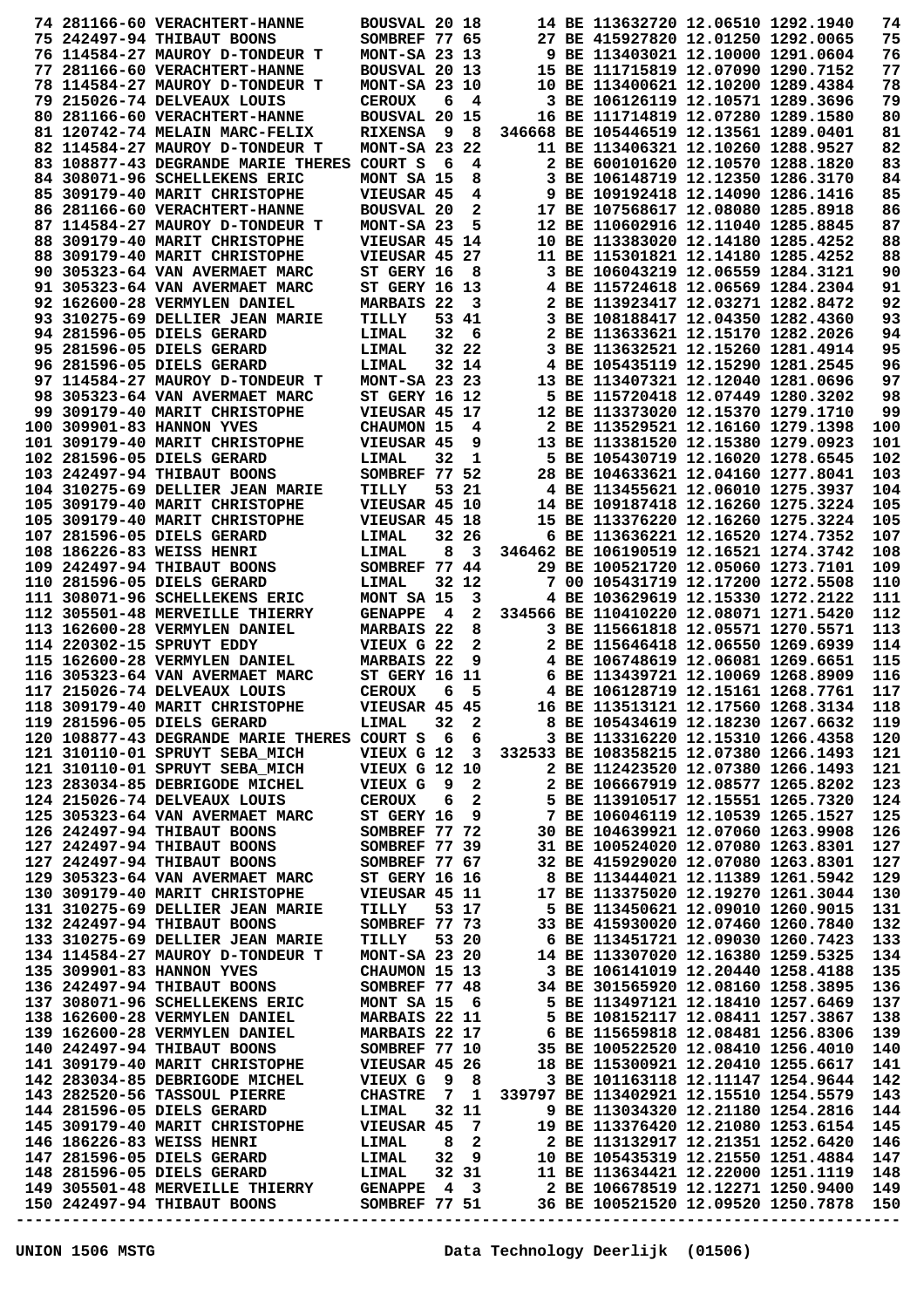|  | 74 281166-60 VERACHTERT-HANNE                                                                                                                             | BOUSVAL 20 18                  |                |                         |  | 14 BE 113632720 12.06510 1292.1940                                          |  | 74         |
|--|-----------------------------------------------------------------------------------------------------------------------------------------------------------|--------------------------------|----------------|-------------------------|--|-----------------------------------------------------------------------------|--|------------|
|  | 75 242497-94 THIBAUT BOONS                                                                                                                                | SOMBREF 77 65                  |                |                         |  | 27 BE 415927820 12.01250 1292.0065                                          |  | 75         |
|  | 76 114584-27 MAUROY D-TONDEUR T                                                                                                                           | MONT-SA 23 13                  |                |                         |  | 9 BE 113403021 12.10000 1291.0604                                           |  | 76         |
|  | 77 281166-60 VERACHTERT-HANNE                                                                                                                             | BOUSVAL 20 13                  |                |                         |  | 15 BE 111715819 12.07090 1290.7152                                          |  | 77         |
|  | 78 114584-27 MAUROY D-TONDEUR T                                                                                                                           | MONT-SA 23 10                  |                |                         |  | 10 BE 113400621 12.10200 1289.4384                                          |  | 78         |
|  | 79 215026-74 DELVEAUX LOUIS                                                                                                                               | <b>CEROUX</b>                  | 6              | 4                       |  | 3 BE 106126119 12.10571 1289.3696                                           |  | 79         |
|  | 80 281166-60 VERACHTERT-HANNE                                                                                                                             | <b>BOUSVAL 20 15</b>           |                |                         |  | 16 BE 111714819 12.07280 1289.1580                                          |  | 80         |
|  | 81 120742-74 MELAIN MARC-FELIX                                                                                                                            | <b>RIXENSA</b>                 | - 9            | - 8                     |  | 346668 BE 105446519 12.13561 1289.0401                                      |  | 81         |
|  | 82 114584-27 MAUROY D-TONDEUR T                                                                                                                           | MONT-SA 23                     |                | 22                      |  | 11 BE 113406321 12.10260 1288.9527                                          |  | 82         |
|  | 83 108877-43 DEGRANDE MARIE THERES                                                                                                                        | COURT S                        | 6              | 4                       |  | 2 BE 600101620 12.10570 1288.1820                                           |  | 83         |
|  | 84 308071-96 SCHELLEKENS ERIC                                                                                                                             | MONT SA 15                     |                | 8                       |  | 3 BE 106148719 12.12350 1286.3170                                           |  | 84         |
|  | 85 309179-40 MARIT CHRISTOPHE                                                                                                                             | VIEUSAR 45                     |                | 4                       |  | 9 BE 109192418 12.14090 1286.1416                                           |  | 85         |
|  | 86 281166-60 VERACHTERT-HANNE                                                                                                                             | <b>BOUSVAL 20</b>              |                | 2                       |  | 17 BE 107568617 12.08080 1285.8918                                          |  | 86         |
|  | 87 114584-27 MAUROY D-TONDEUR T                                                                                                                           | MONT-SA 23                     |                | 5                       |  | 12 BE 110602916 12.11040 1285.8845                                          |  | 87         |
|  | 88 309179-40 MARIT CHRISTOPHE                                                                                                                             | VIEUSAR 45 14                  |                |                         |  | 10 BE 113383020 12.14180 1285.4252                                          |  | 88         |
|  | 88 309179-40 MARIT CHRISTOPHE                                                                                                                             | VIEUSAR 45 27                  |                |                         |  | 11 BE 115301821 12.14180 1285.4252                                          |  | 88         |
|  | 90 305323-64 VAN AVERMAET MARC                                                                                                                            | ST GERY 16                     |                | 8                       |  | 3 BE 106043219 12.06559 1284.3121                                           |  | 90         |
|  | 91 305323-64 VAN AVERMAET MARC                                                                                                                            | <b>ST GERY 16 13</b>           |                |                         |  | 4 BE 115724618 12.06569 1284.2304                                           |  | 91         |
|  | 92 162600-28 VERMYLEN DANIEL                                                                                                                              | MARBAIS 22                     |                | 3                       |  | 2 BE 113923417 12.03271 1282.8472                                           |  | 92         |
|  | 93 310275-69 DELLIER JEAN MARIE                                                                                                                           | TILLY                          |                | 53 41                   |  | 3 BE 108188417 12.04350 1282.4360                                           |  | 93         |
|  | 94 281596-05 DIELS GERARD                                                                                                                                 | LIMAL                          | 32             | 6                       |  | 2 BE 113633621 12.15170 1282.2026                                           |  | 94         |
|  | 95 281596-05 DIELS GERARD                                                                                                                                 | LIMAL                          |                | 32 22                   |  | 3 BE 113632521 12.15260 1281.4914                                           |  | 95         |
|  | 96 281596-05 DIELS GERARD                                                                                                                                 | LIMAL                          |                | 32 14                   |  | 4 BE 105435119 12.15290 1281.2545                                           |  | 96         |
|  | 97 114584-27 MAUROY D-TONDEUR T                                                                                                                           | $MONT-SA$ 23 23                |                |                         |  | 13 BE 113407321 12.12040 1281.0696                                          |  | 97         |
|  | 98 305323-64 VAN AVERMAET MARC                                                                                                                            | <b>ST GERY 16 12</b>           |                |                         |  | 5 BE 115720418 12.07449 1280.3202                                           |  | 98         |
|  | 99 309179-40 MARIT CHRISTOPHE                                                                                                                             | VIEUSAR 45 17                  |                |                         |  | 12 BE 113373020 12.15370 1279.1710                                          |  | 99         |
|  | 100 309901-83 HANNON YVES                                                                                                                                 | CHAUMON 15                     |                | 4                       |  | 2 BE 113529521 12.16160 1279.1398                                           |  | 100        |
|  | 101 309179-40 MARIT CHRISTOPHE                                                                                                                            | VIEUSAR 45                     |                | 9                       |  | 13 BE 113381520 12.15380 1279.0923                                          |  | 101        |
|  | 102 281596-05 DIELS GERARD                                                                                                                                | LIMAL                          | 32             | 1                       |  | 5 BE 105430719 12.16020 1278.6545                                           |  | 102        |
|  | 103 242497-94 THIBAUT BOONS                                                                                                                               | SOMBREF 77 52                  |                |                         |  | 28 BE 104633621 12.04160 1277.8041                                          |  | 103        |
|  | 104 310275-69 DELLIER JEAN MARIE                                                                                                                          | TILLY                          |                | 53 21                   |  | 4 BE 113455621 12.06010 1275.3937                                           |  | 104        |
|  | 105 309179-40 MARIT CHRISTOPHE                                                                                                                            | VIEUSAR 45 10                  |                |                         |  | 14 BE 109187418 12.16260 1275.3224                                          |  | 105        |
|  | 105 309179-40 MARIT CHRISTOPHE                                                                                                                            | VIEUSAR 45 18                  |                |                         |  | 15 BE 113376220 12.16260 1275.3224                                          |  | 105        |
|  | 107 281596-05 DIELS GERARD                                                                                                                                | LIMAL                          |                | 32 26                   |  | 6 BE 113636221 12.16520 1274.7352                                           |  | 107        |
|  | 108 186226-83 WEISS HENRI                                                                                                                                 | LIMAL                          | 8              | 3                       |  | 346462 BE 106190519 12.16521 1274.3742                                      |  | 108        |
|  | 109 242497-94 THIBAUT BOONS                                                                                                                               | SOMBREF 77 44                  |                |                         |  | 29 BE 100521720 12.05060 1273.7101                                          |  | 109        |
|  | 110 281596-05 DIELS GERARD                                                                                                                                |                                |                | 32 12                   |  | 7 00 105431719 12.17200 1272.5508                                           |  | 110        |
|  | 111 308071-96 SCHELLEKENS ERIC                                                                                                                            | <b>LIMAL</b>                   |                | 3                       |  | 4 BE 103629619 12.15330 1272.2122                                           |  | 111        |
|  | 112 305501-48 MERVEILLE THIERRY                                                                                                                           | MONT SA 15<br><b>GENAPPE</b>   | - 4            | $\mathbf{2}$            |  | 334566 BE 110410220 12.08071 1271.5420                                      |  | 112        |
|  | 113 162600-28 VERMYLEN DANIEL                                                                                                                             | MARBAIS 22                     |                | 8                       |  | 3 BE 115661818 12.05571 1270.5571                                           |  | 113        |
|  | 114 220302-15 SPRUYT EDDY                                                                                                                                 | VIEUX G 22                     |                | $\mathbf{2}$            |  | 2 BE 115646418 12.06550 1269.6939                                           |  | 114        |
|  | 115 162600-28 VERMYLEN DANIEL                                                                                                                             | MARBAIS 22                     |                | 9                       |  | 4 BE 106748619 12.06081 1269.6651                                           |  | 115        |
|  | 116 305323-64 VAN AVERMAET MARC                                                                                                                           | <b>ST GERY 16 11</b>           |                |                         |  | 6 BE 113439721 12.10069 1268.8909                                           |  | 116        |
|  | 117 215026-74 DELVEAUX LOUIS                                                                                                                              | <b>CEROUX</b>                  | 6              | 5                       |  | 4 BE 106128719 12.15161 1268.7761                                           |  | 117        |
|  | 118 309179-40 MARIT CHRISTOPHE                                                                                                                            | VIEUSAR 45 45                  |                |                         |  | 16 BE 113513121 12.17560 1268.3134                                          |  | 118        |
|  | 119 281596-05 DIELS GERARD                                                                                                                                | LIMAL                          | 32             | $\overline{\mathbf{2}}$ |  | 8 BE 105434619 12.18230 1267.6632                                           |  | 119        |
|  | 120 108877-43 DEGRANDE MARIE THERES COURT S 6 6                                                                                                           |                                |                |                         |  |                                                                             |  | 120        |
|  | 121 310110-01 SPRUYT SEBA MICH                                                                                                                            | VIEUX G 12 3                   |                |                         |  | 3 BE 113316220 12.15310 1266.4358<br>332533 BE 108358215 12.07380 1266.1493 |  | 121        |
|  |                                                                                                                                                           | <b>VIEUX G 12 10</b>           |                |                         |  |                                                                             |  | 121        |
|  | 121 310110-01 SPRUYT SEBA_MICH<br>123 283034-85 DEBRIGODE MICHEL                                                                                          |                                |                | $\mathbf{2}$            |  | 2 BE 112423520 12.07380 1266.1493                                           |  | 123        |
|  |                                                                                                                                                           | VIEUX G 9                      |                |                         |  | 2 BE 106667919 12.08577 1265.8202                                           |  |            |
|  | 124 215026-74 DELVEAUX LOUIS                                                                                                                              | <b>CEROUX</b>                  | 6              | $\mathbf{2}$            |  | 5 BE 113910517 12.15551 1265.7320                                           |  | 124        |
|  | 125 305323-64 VAN AVERMAET MARC                                                                                                                           | ST GERY 16                     |                | 9                       |  | 7 BE 106046119 12.10539 1265.1527                                           |  | 125        |
|  | 126 242497-94 THIBAUT BOONS                                                                                                                               | SOMBREF 77 72<br>SOMBREF 77 39 |                |                         |  | 30 BE 104639921 12.07060 1263.9908                                          |  | 126<br>127 |
|  | 127 242497-94 THIBAUT BOONS                                                                                                                               | SOMBREF 77 67                  |                |                         |  | 31 BE 100524020 12.07080 1263.8301                                          |  | 127        |
|  | 127 242497-94 THIBAUT BOONS<br>129 305323-64 VAN AVERMAET MARC                                                                                            |                                |                |                         |  | 32 BE 415929020 12.07080 1263.8301                                          |  |            |
|  |                                                                                                                                                           | <b>ST GERY 16 16</b>           |                |                         |  | 8 BE 113444021 12.11389 1261.5942<br>17 BE 113375020 12.19270 1261.3044     |  | 129        |
|  | 130 309179-40 MARIT CHRISTOPHE                                                                                                                            | VIEUSAR 45 11                  |                |                         |  |                                                                             |  | 130        |
|  | 131 310275-69 DELLIER JEAN MARIE                                                                                                                          | TILLY                          |                | 53 17                   |  | 5 BE 113450621 12.09010 1260.9015                                           |  | 131        |
|  | 132 242497-94 THIBAUT BOONS                                                                                                                               | SOMBREF 77 73                  |                |                         |  | 33 BE 415930020 12.07460 1260.7840                                          |  | 132        |
|  | 133 310275-69 DELLIER JEAN MARIE                                                                                                                          | TILLY                          |                | 53 20                   |  | 6 BE 113451721 12.09030 1260.7423                                           |  | 133        |
|  | 134 114584-27 MAUROY D-TONDEUR T                                                                                                                          | MONT-SA 23 20                  |                |                         |  | 14 BE 113307020 12.16380 1259.5325                                          |  | 134        |
|  | 135 309901-83 HANNON YVES                                                                                                                                 | CHAUMON 15 13                  |                |                         |  | 3 BE 106141019 12.20440 1258.4188                                           |  | 135        |
|  | 136 242497-94 THIBAUT BOONS                                                                                                                               | SOMBREF 77 48                  |                |                         |  | 34 BE 301565920 12.08160 1258.3895                                          |  | 136        |
|  | 137 308071-96 SCHELLEKENS ERIC                                                                                                                            | MONT SA 15 6                   |                |                         |  | 5 BE 113497121 12.18410 1257.6469                                           |  | 137        |
|  | 138 162600-28 VERMYLEN DANIEL                                                                                                                             | MARBAIS 22 11                  |                |                         |  | 5 BE 108152117 12.08411 1257.3867                                           |  | 138        |
|  | 139 162600-28 VERMYLEN DANIEL                                                                                                                             | <b>MARBAIS 22 17</b>           |                |                         |  | 6 BE 115659818 12.08481 1256.8306                                           |  | 139        |
|  | 140 242497-94 THIBAUT BOONS                                                                                                                               | SOMBREF 77 10                  |                |                         |  | 35 BE 100522520 12.08410 1256.4010                                          |  | 140        |
|  | 141 309179-40 MARIT CHRISTOPHE                                                                                                                            | <b>VIEUSAR 45 26</b>           |                |                         |  | 18 BE 115300921 12.20410 1255.6617                                          |  | 141        |
|  | 142 283034-85 DEBRIGODE MICHEL                                                                                                                            | VIEUX G 9 8                    |                |                         |  | 3 BE 101163118 12.11147 1254.9644                                           |  | 142        |
|  | 143 282520-56 TASSOUL PIERRE                                                                                                                              | <b>CHASTRE</b>                 | $\overline{7}$ | $\mathbf{1}$            |  | 339797 BE 113402921 12.15510 1254.5579                                      |  | 143        |
|  | 144 281596-05 DIELS GERARD                                                                                                                                | LIMAL                          |                | 32 11                   |  | 9 BE 113034320 12.21180 1254.2816                                           |  | 144        |
|  |                                                                                                                                                           |                                |                |                         |  | 19 BE 113376420 12.21080 1253.6154                                          |  | 145        |
|  | 144 281596-05 DIEDS SENGNY<br>145 309179-40 MARIT CHRISTOPHE VIEUSAR 45 7<br>146 186226-83 WEISS HENRI LIMAL 8 2<br>147 281596-05 DIELS GERARD LIMAL 32 9 |                                |                |                         |  | 2 BE 113132917 12.21351 1252.6420                                           |  | 146        |
|  |                                                                                                                                                           |                                |                |                         |  | 10 BE 105435319 12.21550 1251.4884                                          |  | 147        |
|  | LIMAL<br>148 281596-05 DIELS GERARD                                                                                                                       |                                |                | 32 31                   |  | 11 BE 113634421 12.22000 1251.1119                                          |  | 148        |
|  | 149 305501-48 MERVEILLE THIERRY GENAPPE 4 3                                                                                                               |                                |                |                         |  | 2 BE 106678519 12.12271 1250.9400                                           |  | 149        |
|  | 150 242497-94 THIBAUT BOONS                                                                                                                               | <b>SOMBREF 77 51</b>           |                |                         |  | 36 BE 100521520 12.09520 1250.7878                                          |  | 150        |
|  |                                                                                                                                                           |                                |                |                         |  |                                                                             |  |            |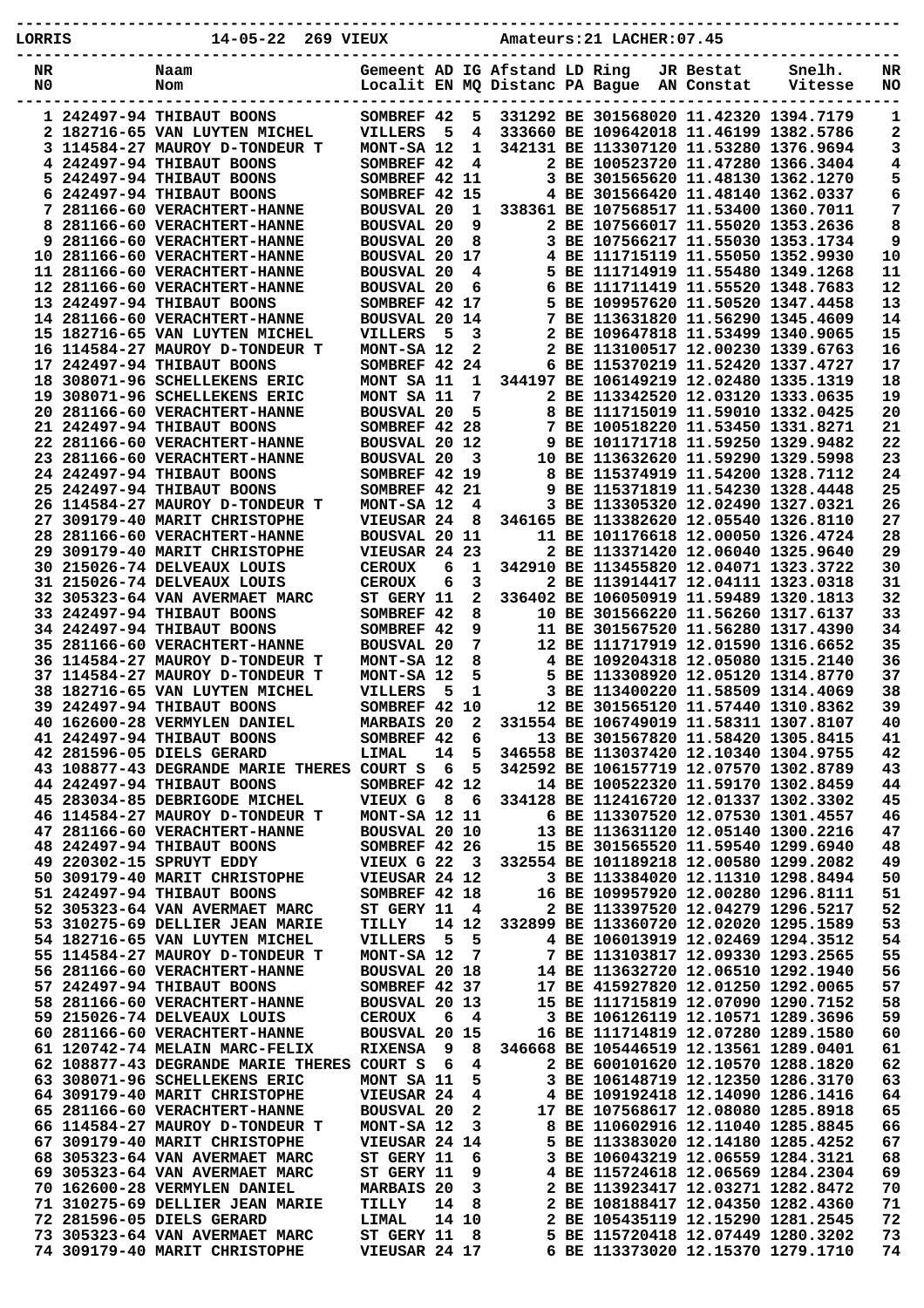| LORRIS | $14 - 05 - 22$<br>269 VIEUX                                       |                                        |           |                         |                                | Amateurs: 21 LACHER: 07.45                                                       |            |         |          |
|--------|-------------------------------------------------------------------|----------------------------------------|-----------|-------------------------|--------------------------------|----------------------------------------------------------------------------------|------------|---------|----------|
| NR     | Naam                                                              |                                        |           |                         | Gemeent AD IG Afstand LD Ring  |                                                                                  | JR Bestat  | Snelh.  | NR       |
| N0     | Nom                                                               |                                        |           |                         | Localit EN MQ Distanc PA Bague |                                                                                  | AN Constat | Vitesse | NO       |
|        |                                                                   |                                        |           |                         |                                |                                                                                  |            |         |          |
|        | 1 242497-94 THIBAUT BOONS<br>2 182716-65 VAN LUYTEN MICHEL        | SOMBREF 42<br><b>VILLERS</b>           | 5         | 5<br>4                  |                                | 331292 BE 301568020 11.42320 1394.7179<br>333660 BE 109642018 11.46199 1382.5786 |            |         | 1<br>2   |
|        | 3 114584-27 MAUROY D-TONDEUR T                                    | MONT-SA 12                             |           | 1                       |                                | 342131 BE 113307120 11.53280 1376.9694                                           |            |         | 3        |
|        | 4 242497-94 THIBAUT BOONS                                         | SOMBREF 42                             |           | 4                       |                                | 2 BE 100523720 11.47280 1366.3404                                                |            |         | 4        |
|        | 5 242497-94 THIBAUT BOONS                                         | SOMBREF 42 11                          |           |                         |                                | 3 BE 301565620 11.48130 1362.1270                                                |            |         | 5        |
| 6      | 242497-94 THIBAUT BOONS                                           | SOMBREF 42 15                          |           |                         |                                | 4 BE 301566420 11.48140 1362.0337                                                |            |         | 6        |
| 8      | 7 281166-60 VERACHTERT-HANNE<br>281166-60 VERACHTERT-HANNE        | <b>BOUSVAL 20</b><br><b>BOUSVAL 20</b> |           | 1<br>9                  |                                | 338361 BE 107568517 11.53400 1360.7011<br>2 BE 107566017 11.55020 1353.2636      |            |         | 7<br>8   |
|        | 9 281166-60 VERACHTERT-HANNE                                      | <b>BOUSVAL 20</b>                      |           | 8                       |                                | 3 BE 107566217 11.55030 1353.1734                                                |            |         | 9        |
|        | 10 281166-60 VERACHTERT-HANNE                                     | <b>BOUSVAL 20</b>                      |           | 17                      |                                | 4 BE 111715119 11.55050 1352.9930                                                |            |         | 10       |
|        | 11 281166-60 VERACHTERT-HANNE                                     | <b>BOUSVAL 20</b>                      |           | 4                       |                                | 5 BE 111714919 11.55480 1349.1268                                                |            |         | 11       |
|        | 12 281166-60 VERACHTERT-HANNE                                     | <b>BOUSVAL 20</b>                      |           | 6                       | 6                              | BE 111711419 11.55520 1348.7683                                                  |            |         | 12       |
|        | 13 242497-94 THIBAUT BOONS<br>14 281166-60 VERACHTERT-HANNE       | SOMBREF 42<br><b>BOUSVAL 20</b>        |           | 17<br>14                | 7                              | 5 BE 109957620 11.50520 1347.4458<br>BE 113631820 11.56290 1345.4609             |            |         | 13<br>14 |
|        | 15 182716-65 VAN LUYTEN MICHEL                                    | <b>VILLERS</b>                         | 5         | 3                       |                                | 2 BE 109647818 11.53499 1340.9065                                                |            |         | 15       |
|        | 16 114584-27 MAUROY D-TONDEUR T                                   | MONT-SA 12                             |           | 2                       |                                | 2 BE 113100517 12.00230 1339.6763                                                |            |         | 16       |
|        | 17 242497-94 THIBAUT BOONS                                        | SOMBREF 42                             |           | 24                      |                                | 6 BE 115370219 11.52420 1337.4727                                                |            |         | 17       |
|        | 18 308071-96 SCHELLEKENS ERIC                                     | MONT SA 11                             |           | 1                       |                                | 344197 BE 106149219 12.02480 1335.1319                                           |            |         | 18       |
|        | 19 308071-96 SCHELLEKENS ERIC                                     | MONT SA 11                             |           | 7                       |                                | 2 BE 113342520 12.03120 1333.0635                                                |            |         | 19       |
|        | 20 281166-60 VERACHTERT-HANNE<br>21 242497-94 THIBAUT BOONS       | <b>BOUSVAL 20</b><br>SOMBREF 42 28     |           | 5                       |                                | 8 BE 111715019 11.59010 1332.0425<br>7 BE 100518220 11.53450 1331.8271           |            |         | 20<br>21 |
|        | 22 281166-60 VERACHTERT-HANNE                                     | BOUSVAL 20 12                          |           |                         |                                | 9 BE 101171718 11.59250 1329.9482                                                |            |         | 22       |
|        | 23 281166-60 VERACHTERT-HANNE                                     | <b>BOUSVAL 20</b>                      |           | 3                       |                                | 10 BE 113632620 11.59290 1329.5998                                               |            |         | 23       |
|        | 24 242497-94 THIBAUT BOONS                                        | SOMBREF 42 19                          |           |                         |                                | 8 BE 115374919 11.54200 1328.7112                                                |            |         | 24       |
|        | 25 242497-94 THIBAUT BOONS                                        | SOMBREF 42 21                          |           |                         |                                | 9 BE 115371819 11.54230 1328.4448                                                |            |         | 25       |
|        | 26 114584-27 MAUROY D-TONDEUR T                                   | MONT-SA 12                             |           | 4                       |                                | 3 BE 113305320 12.02490 1327.0321                                                |            |         | 26       |
|        | 27 309179-40 MARIT CHRISTOPHE<br>28 281166-60 VERACHTERT-HANNE    | VIEUSAR 24<br>BOUSVAL 20 11            |           | 8                       |                                | 346165 BE 113382620 12.05540 1326.8110<br>11 BE 101176618 12.00050 1326.4724     |            |         | 27<br>28 |
| 29     | 309179-40 MARIT CHRISTOPHE                                        | VIEUSAR 24                             |           | 23                      |                                | 2 BE 113371420 12.06040 1325.9640                                                |            |         | 29       |
|        | 30 215026-74 DELVEAUX LOUIS                                       | <b>CEROUX</b>                          | 6         | 1                       |                                | 342910 BE 113455820 12.04071 1323.3722                                           |            |         | 30       |
|        | 31 215026-74 DELVEAUX LOUIS                                       | <b>CEROUX</b>                          | 6         | 3                       |                                | 2 BE 113914417 12.04111 1323.0318                                                |            |         | 31       |
|        | 32 305323-64 VAN AVERMAET MARC                                    | ST GERY 11                             |           | 2                       |                                | 336402 BE 106050919 11.59489 1320.1813                                           |            |         | 32       |
|        | 33 242497-94 THIBAUT BOONS<br><b>34 242497-94 THIBAUT BOONS</b>   | <b>SOMBREF</b>                         | 42<br>-42 | 8<br>9                  |                                | 10 BE 301566220 11.56260 1317.6137<br>11 BE 301567520 11.56280 1317.4390         |            |         | 33<br>34 |
|        | 35 281166-60 VERACHTERT-HANNE                                     | <b>SOMBREF</b><br><b>BOUSVAL 20</b>    |           | 7                       |                                | 12 BE 111717919 12.01590 1316.6652                                               |            |         | 35       |
|        | 36 114584-27 MAUROY D-TONDEUR T                                   | MONT-SA 12                             |           | 8                       |                                | 4 BE 109204318 12.05080 1315.2140                                                |            |         | 36       |
|        | 37 114584-27 MAUROY D-TONDEUR T                                   | MONT-SA 12                             |           | 5                       |                                | 5 BE 113308920 12.05120 1314.8770                                                |            |         | 37       |
|        | <b>38 182716-65 VAN LUYTEN MICHEL</b>                             | <b>VILLERS</b>                         | 5         | 1                       |                                | 3 BE 113400220 11.58509 1314.4069                                                |            |         | 38       |
|        | 39 242497-94 THIBAUT BOONS                                        | SOMBREF 42 10                          |           |                         |                                | 12 BE 301565120 11.57440 1310.8362                                               |            |         | 39       |
|        | 40 162600-28 VERMYLEN DANIEL<br>41 242497-94 THIBAUT BOONS        | <b>MARBAIS 20</b><br>SOMBREF 42        |           | 2<br>6                  |                                | 331554 BE 106749019 11.58311 1307.8107<br>13 BE 301567820 11.58420 1305.8415     |            |         | 40<br>41 |
|        | 42 281596-05 DIELS GERARD                                         | LIMAL                                  | 14        | 5                       |                                | 346558 BE 113037420 12.10340 1304.9755                                           |            |         | 42       |
|        | 43 108877-43 DEGRANDE MARIE THERES COURT S                        |                                        | - 6       | 5                       |                                | 342592 BE 106157719 12.07570 1302.8789                                           |            |         | 43       |
|        | 44 242497-94 THIBAUT BOONS                                        | SOMBREF 42 12                          |           |                         |                                | 14 BE 100522320 11.59170 1302.8459                                               |            |         | 44       |
|        | 45 283034-85 DEBRIGODE MICHEL                                     | VIEUX G                                | - 8       | - 6                     |                                | 334128 BE 112416720 12.01337 1302.3302                                           |            |         | 45       |
|        | 46 114584-27 MAUROY D-TONDEUR T<br>47 281166-60 VERACHTERT-HANNE  | MONT-SA 12 11<br>BOUSVAL 20 10         |           |                         |                                | 6 BE 113307520 12.07530 1301.4557<br>13 BE 113631120 12.05140 1300.2216          |            |         | 46<br>47 |
|        | 48 242497-94 THIBAUT BOONS                                        | SOMBREF 42 26                          |           |                         |                                | 15 BE 301565520 11.59540 1299.6940                                               |            |         | 48       |
|        | 49 220302-15 SPRUYT EDDY                                          | VIEUX G 22                             |           | $\overline{\mathbf{3}}$ |                                | 332554 BE 101189218 12.00580 1299.2082                                           |            |         | 49       |
|        | 50 309179-40 MARIT CHRISTOPHE                                     | VIEUSAR 24 12                          |           |                         |                                | 3 BE 113384020 12.11310 1298.8494                                                |            |         | 50       |
|        | 51 242497-94 THIBAUT BOONS                                        | SOMBREF 42 18                          |           |                         |                                | 16 BE 109957920 12.00280 1296.8111                                               |            |         | 51       |
|        | 52 305323-64 VAN AVERMAET MARC                                    | ST GERY 11                             |           | 4                       |                                | 2 BE 113397520 12.04279 1296.5217                                                |            |         | 52       |
|        | 53 310275-69 DELLIER JEAN MARIE<br>54 182716-65 VAN LUYTEN MICHEL | TILLY<br>VILLERS                       | 5         | 14 12<br>5              |                                | 332899 BE 113360720 12.02020 1295.1589<br>4 BE 106013919 12.02469 1294.3512      |            |         | 53<br>54 |
|        | 55 114584-27 MAUROY D-TONDEUR T                                   | MONT-SA 12                             |           | 7                       |                                | 7 BE 113103817 12.09330 1293.2565                                                |            |         | 55       |
|        | 56 281166-60 VERACHTERT-HANNE                                     | BOUSVAL 20 18                          |           |                         |                                | 14 BE 113632720 12.06510 1292.1940                                               |            |         | 56       |
|        | 57 242497-94 THIBAUT BOONS                                        | SOMBREF 42 37                          |           |                         |                                | 17 BE 415927820 12.01250 1292.0065                                               |            |         | 57       |
|        | 58 281166-60 VERACHTERT-HANNE                                     | BOUSVAL 20 13                          |           |                         |                                | 15 BE 111715819 12.07090 1290.7152                                               |            |         | 58       |
|        | 59 215026-74 DELVEAUX LOUIS                                       | <b>CEROUX</b>                          | 6         | 4                       |                                | 3 BE 106126119 12.10571 1289.3696                                                |            |         | 59       |
|        | 60 281166-60 VERACHTERT-HANNE<br>61 120742-74 MELAIN MARC-FELIX   | <b>BOUSVAL 20 15</b><br><b>RIXENSA</b> | - 9       | 8                       |                                | 16 BE 111714819 12.07280 1289.1580<br>346668 BE 105446519 12.13561 1289.0401     |            |         | 60<br>61 |
|        | 62 108877-43 DEGRANDE MARIE THERES COURT S                        |                                        | - 6       | 4                       |                                | 2 BE 600101620 12.10570 1288.1820                                                |            |         | 62       |
|        | 63 308071-96 SCHELLEKENS ERIC                                     | MONT SA 11                             |           | 5                       |                                | 3 BE 106148719 12.12350 1286.3170                                                |            |         | 63       |
|        | 64 309179-40 MARIT CHRISTOPHE                                     | VIEUSAR 24                             |           | 4                       |                                | 4 BE 109192418 12.14090 1286.1416                                                |            |         | 64       |
|        | 65 281166-60 VERACHTERT-HANNE                                     | <b>BOUSVAL 20</b>                      |           | 2                       |                                | 17 BE 107568617 12.08080 1285.8918                                               |            |         | 65       |
|        | 66 114584-27 MAUROY D-TONDEUR T<br>67 309179-40 MARIT CHRISTOPHE  | MONT-SA 12<br>VIEUSAR 24 14            |           | 3                       |                                | 8 BE 110602916 12.11040 1285.8845<br>5 BE 113383020 12.14180 1285.4252           |            |         | 66<br>67 |
|        | 68 305323-64 VAN AVERMAET MARC                                    | ST GERY 11                             |           | 6                       |                                | 3 BE 106043219 12.06559 1284.3121                                                |            |         | 68       |
|        | 69 305323-64 VAN AVERMAET MARC                                    | ST GERY 11                             |           | 9                       |                                | 4 BE 115724618 12.06569 1284.2304                                                |            |         | 69       |
|        | 70 162600-28 VERMYLEN DANIEL                                      | <b>MARBAIS 20</b>                      |           | 3                       |                                | 2 BE 113923417 12.03271 1282.8472                                                |            |         | 70       |
|        | 71 310275-69 DELLIER JEAN MARIE                                   | TILLY                                  | 14        | 8                       |                                | 2 BE 108188417 12.04350 1282.4360                                                |            |         | 71       |
|        | 72 281596-05 DIELS GERARD<br>73 305323-64 VAN AVERMAET MARC       | LIMAL<br>ST GERY 11                    |           | 14 10                   |                                | 2 BE 105435119 12.15290 1281.2545                                                |            |         | 72       |
|        | 74 309179-40 MARIT CHRISTOPHE                                     | VIEUSAR 24 17                          |           | 8                       |                                | 5 BE 115720418 12.07449 1280.3202<br>6 BE 113373020 12.15370 1279.1710           |            |         | 73<br>74 |
|        |                                                                   |                                        |           |                         |                                |                                                                                  |            |         |          |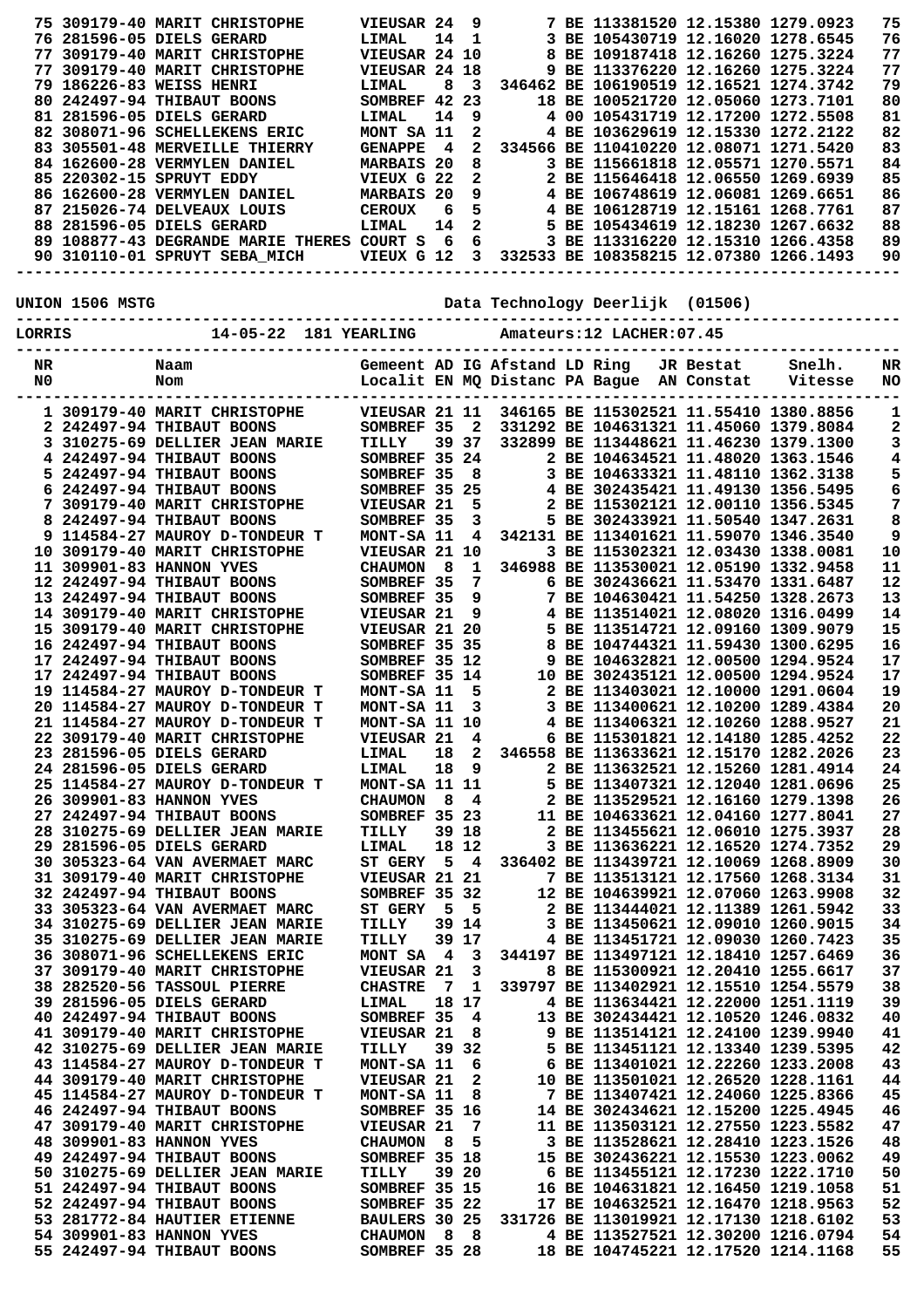|          |                 | 75 309179-40 MARIT CHRISTOPHE<br>76 281596-05 DIELS GERARD<br>77 309179-40 MARIT CHRISTOPHE<br>77 309179-40 MARIT CHRISTOPHE<br>79 186226-83 WEISS HENRI<br>80 242497-94 THIBAUT BOONS<br>81 281596-05 DIELS GERARD<br>82 308071-96 SCHELLEKENS ERIC<br>83 305501-48 MERVEILLE THIERRY<br>84 162600-28 VERMYLEN DANIEL<br>85 220302-15 SPRUYT EDDY<br>86 162600-28 VERMYLEN DANIEL | VIEUSAR 24<br>LIMAL<br>VIEUSAR 24 10<br>VIEUSAR 24 18<br>LIMAL<br>SOMBREF 42 23<br><b>LIMAL</b><br>MONT SA 11<br><b>GENAPPE</b><br><b>MARBAIS 20</b><br>VIEUX G 22<br><b>MARBAIS 20</b> | 14<br>8<br>14<br>$\overline{4}$ | 9<br>$\mathbf{1}$<br>3<br>9<br>2<br>2<br>8<br>$\mathbf{2}$ | $9^{\circ}$                   | 7 BE 113381520 12.15380 1279.0923<br>3 BE 105430719 12.16020 1278.6545<br>8 BE 109187418 12.16260 1275.3224<br>9 BE 113376220 12.16260 1275.3224<br>346462 BE 106190519 12.16521 1274.3742<br>18 BE 100521720 12.05060 1273.7101<br>4 00 105431719 12.17200 1272.5508<br>4 BE 103629619 12.15330 1272.2122<br>334566 BE 110410220 12.08071 1271.5420<br>3 BE 115661818 12.05571 1270.5571<br>2 BE 115646418 12.06550 1269.6939<br>4 BE 106748619 12.06081 1269.6651 |           |                   | 75<br>76<br>77<br>77<br>79<br>80<br>81<br>82<br>83<br>84<br>85<br>86 |
|----------|-----------------|------------------------------------------------------------------------------------------------------------------------------------------------------------------------------------------------------------------------------------------------------------------------------------------------------------------------------------------------------------------------------------|-----------------------------------------------------------------------------------------------------------------------------------------------------------------------------------------|---------------------------------|------------------------------------------------------------|-------------------------------|---------------------------------------------------------------------------------------------------------------------------------------------------------------------------------------------------------------------------------------------------------------------------------------------------------------------------------------------------------------------------------------------------------------------------------------------------------------------|-----------|-------------------|----------------------------------------------------------------------|
|          |                 | 87 215026-74 DELVEAUX LOUIS<br>88 281596-05 DIELS GERARD<br>89 108877-43 DEGRANDE MARIE THERES COURT S                                                                                                                                                                                                                                                                             | <b>CEROUX</b><br>LIMAL                                                                                                                                                                  | 6<br>14<br>- 6                  | 5<br>$\mathbf{2}$                                          | $6\overline{6}$               | 4 BE 106128719 12.15161 1268.7761<br>5 BE 105434619 12.18230 1267.6632<br>3 BE 113316220 12.15310 1266.4358                                                                                                                                                                                                                                                                                                                                                         |           |                   | 87<br>88<br>89                                                       |
|          |                 | 90 310110-01 SPRUYT SEBA MICH                                                                                                                                                                                                                                                                                                                                                      | VIEUX G 12                                                                                                                                                                              |                                 |                                                            |                               | 3 332533 BE 108358215 12.07380 1266.1493                                                                                                                                                                                                                                                                                                                                                                                                                            |           |                   | 90                                                                   |
|          | UNION 1506 MSTG |                                                                                                                                                                                                                                                                                                                                                                                    |                                                                                                                                                                                         |                                 |                                                            |                               | Data Technology Deerlijk (01506)                                                                                                                                                                                                                                                                                                                                                                                                                                    |           |                   |                                                                      |
| LORRIS   |                 | 14-05-22 181 YEARLING                                                                                                                                                                                                                                                                                                                                                              |                                                                                                                                                                                         |                                 |                                                            |                               | Amateurs: 12 LACHER: 07.45                                                                                                                                                                                                                                                                                                                                                                                                                                          |           |                   |                                                                      |
| NR<br>N0 |                 | Naam<br>Nom                                                                                                                                                                                                                                                                                                                                                                        |                                                                                                                                                                                         |                                 |                                                            | Gemeent AD IG Afstand LD Ring | Localit EN MQ Distanc PA Bague AN Constat                                                                                                                                                                                                                                                                                                                                                                                                                           | JR Bestat | Snelh.<br>Vitesse | NR<br>NO                                                             |
|          |                 | 1 309179-40 MARIT CHRISTOPHE<br>2 242497-94 THIBAUT BOONS                                                                                                                                                                                                                                                                                                                          | VIEUSAR 21 11<br>SOMBREF 35                                                                                                                                                             |                                 | 2                                                          |                               | 346165 BE 115302521 11.55410 1380.8856<br>331292 BE 104631321 11.45060 1379.8084                                                                                                                                                                                                                                                                                                                                                                                    |           |                   | 1<br>2                                                               |
|          |                 | 3 310275-69 DELLIER JEAN MARIE                                                                                                                                                                                                                                                                                                                                                     | TILLY                                                                                                                                                                                   |                                 | 39 37                                                      |                               | 332899 BE 113448621 11.46230 1379.1300                                                                                                                                                                                                                                                                                                                                                                                                                              |           |                   | 3                                                                    |
|          |                 | 4 242497-94 THIBAUT BOONS<br>5 242497-94 THIBAUT BOONS                                                                                                                                                                                                                                                                                                                             | SOMBREF 35 24<br>SOMBREF 35                                                                                                                                                             |                                 | - 8                                                        |                               | 2 BE 104634521 11.48020 1363.1546<br>3 BE 104633321 11.48110 1362.3138                                                                                                                                                                                                                                                                                                                                                                                              |           |                   | 4<br>5                                                               |
|          |                 | 6 242497-94 THIBAUT BOONS                                                                                                                                                                                                                                                                                                                                                          | SOMBREF 35 25                                                                                                                                                                           |                                 |                                                            |                               | 4 BE 302435421 11.49130 1356.5495                                                                                                                                                                                                                                                                                                                                                                                                                                   |           |                   | 6                                                                    |
|          |                 | 7 309179-40 MARIT CHRISTOPHE                                                                                                                                                                                                                                                                                                                                                       | VIEUSAR 21                                                                                                                                                                              |                                 | 5                                                          |                               | 2 BE 115302121 12.00110 1356.5345                                                                                                                                                                                                                                                                                                                                                                                                                                   |           |                   | 7                                                                    |
|          |                 | 8 242497-94 THIBAUT BOONS<br>9 114584-27 MAUROY D-TONDEUR T                                                                                                                                                                                                                                                                                                                        | SOMBREF 35<br>MONT-SA 11                                                                                                                                                                |                                 | 3<br>4                                                     |                               | 5 BE 302433921 11.50540 1347.2631<br>342131 BE 113401621 11.59070 1346.3540                                                                                                                                                                                                                                                                                                                                                                                         |           |                   | 8<br>9                                                               |
|          |                 | 10 309179-40 MARIT CHRISTOPHE                                                                                                                                                                                                                                                                                                                                                      | VIEUSAR 21 10                                                                                                                                                                           |                                 |                                                            |                               | 3 BE 115302321 12.03430 1338.0081                                                                                                                                                                                                                                                                                                                                                                                                                                   |           |                   | 10                                                                   |
|          |                 | 11 309901-83 HANNON YVES<br>12 242497-94 THIBAUT BOONS                                                                                                                                                                                                                                                                                                                             | <b>CHAUMON</b><br>SOMBREF 35                                                                                                                                                            | 8                               | 1<br>7                                                     |                               | 346988 BE 113530021 12.05190 1332.9458<br>6 BE 302436621 11.53470 1331.6487                                                                                                                                                                                                                                                                                                                                                                                         |           |                   | 11<br>12                                                             |
|          |                 | 13 242497-94 THIBAUT BOONS                                                                                                                                                                                                                                                                                                                                                         | SOMBREF 35                                                                                                                                                                              |                                 | 9                                                          |                               | 7 BE 104630421 11.54250 1328.2673                                                                                                                                                                                                                                                                                                                                                                                                                                   |           |                   | 13                                                                   |
|          |                 | 14 309179-40 MARIT CHRISTOPHE                                                                                                                                                                                                                                                                                                                                                      | VIEUSAR 21                                                                                                                                                                              |                                 | 9                                                          |                               | 4 BE 113514021 12.08020 1316.0499                                                                                                                                                                                                                                                                                                                                                                                                                                   |           |                   | 14                                                                   |
|          |                 | 15 309179-40 MARIT CHRISTOPHE<br>16 242497-94 THIBAUT BOONS                                                                                                                                                                                                                                                                                                                        | VIEUSAR 21 20<br>SOMBREF 35 35                                                                                                                                                          |                                 |                                                            |                               | 5 BE 113514721 12.09160 1309.9079<br>8 BE 104744321 11.59430 1300.6295                                                                                                                                                                                                                                                                                                                                                                                              |           |                   | 15<br>16                                                             |
|          |                 | 17 242497-94 THIBAUT BOONS                                                                                                                                                                                                                                                                                                                                                         | SOMBREF 35 12                                                                                                                                                                           |                                 |                                                            |                               | 9 BE 104632821 12.00500 1294.9524                                                                                                                                                                                                                                                                                                                                                                                                                                   |           |                   | 17                                                                   |
|          |                 | 17 242497-94 THIBAUT BOONS                                                                                                                                                                                                                                                                                                                                                         | SOMBREF 35 14                                                                                                                                                                           |                                 |                                                            |                               | 10 BE 302435121 12.00500 1294.9524                                                                                                                                                                                                                                                                                                                                                                                                                                  |           |                   | 17                                                                   |
|          |                 | 19 114584-27 MAUROY D-TONDEUR T<br>20 114584-27 MAUROY D-TONDEUR T                                                                                                                                                                                                                                                                                                                 | MONT-SA 11<br>MONT-SA 11                                                                                                                                                                |                                 | 5<br>$\overline{\phantom{a}}$ 3                            |                               | 2 BE 113403021 12.10000 1291.0604<br>3 BE 113400621 12.10200 1289.4384                                                                                                                                                                                                                                                                                                                                                                                              |           |                   | 19<br>20                                                             |
|          |                 | 21 114584-27 MAUROY D-TONDEUR T                                                                                                                                                                                                                                                                                                                                                    | MONT-SA 11 10                                                                                                                                                                           |                                 |                                                            |                               | 4 BE 113406321 12.10260 1288.9527                                                                                                                                                                                                                                                                                                                                                                                                                                   |           |                   | 21                                                                   |
|          |                 | 22 309179-40 MARIT CHRISTOPHE                                                                                                                                                                                                                                                                                                                                                      | VIEUSAR 21 4                                                                                                                                                                            |                                 |                                                            |                               | 6 BE 115301821 12.14180 1285.4252                                                                                                                                                                                                                                                                                                                                                                                                                                   |           |                   | 22                                                                   |
|          |                 | 23 281596-05 DIELS GERARD<br>24 281596-05 DIELS GERARD                                                                                                                                                                                                                                                                                                                             | <b>LIMAL</b><br>LIMAL                                                                                                                                                                   |                                 |                                                            | 18 9                          | 18 2 346558 BE 113633621 12.15170 1282.2026<br>2 BE 113632521 12.15260 1281.4914                                                                                                                                                                                                                                                                                                                                                                                    |           |                   | 23<br>24                                                             |
|          |                 | 25 114584-27 MAUROY D-TONDEUR T                                                                                                                                                                                                                                                                                                                                                    | MONT-SA 11 11                                                                                                                                                                           |                                 |                                                            |                               | 5 BE 113407321 12.12040 1281.0696                                                                                                                                                                                                                                                                                                                                                                                                                                   |           |                   | 25                                                                   |
|          |                 | 26 309901-83 HANNON YVES<br>27 242497-94 THIBAUT BOONS                                                                                                                                                                                                                                                                                                                             | CHAUMON 8 4<br>SOMBREF 35 23                                                                                                                                                            |                                 |                                                            |                               | 2 BE 113529521 12.16160 1279.1398<br>11 BE 104633621 12.04160 1277.8041                                                                                                                                                                                                                                                                                                                                                                                             |           |                   | 26<br>27                                                             |
|          |                 | 28 310275-69 DELLIER JEAN MARIE                                                                                                                                                                                                                                                                                                                                                    | TILLY                                                                                                                                                                                   | 39 18                           |                                                            |                               | 2 BE 113455621 12.06010 1275.3937                                                                                                                                                                                                                                                                                                                                                                                                                                   |           |                   | 28                                                                   |
|          |                 | 29 281596-05 DIELS GERARD                                                                                                                                                                                                                                                                                                                                                          | LIMAL                                                                                                                                                                                   | 18 12                           |                                                            |                               | 3 BE 113636221 12.16520 1274.7352                                                                                                                                                                                                                                                                                                                                                                                                                                   |           |                   | 29                                                                   |
|          |                 | 30 305323-64 VAN AVERMAET MARC<br>31 309179-40 MARIT CHRISTOPHE                                                                                                                                                                                                                                                                                                                    | ST GERY 5 4<br><b>VIEUSAR 21 21</b>                                                                                                                                                     |                                 |                                                            |                               | 336402 BE 113439721 12.10069 1268.8909<br>7 BE 113513121 12.17560 1268.3134                                                                                                                                                                                                                                                                                                                                                                                         |           |                   | 30<br>31                                                             |
|          |                 | 32 242497-94 THIBAUT BOONS                                                                                                                                                                                                                                                                                                                                                         | SOMBREF 35 32                                                                                                                                                                           |                                 |                                                            |                               | 12 BE 104639921 12.07060 1263.9908                                                                                                                                                                                                                                                                                                                                                                                                                                  |           |                   | 32                                                                   |
|          |                 | 33 305323-64 VAN AVERMAET MARC                                                                                                                                                                                                                                                                                                                                                     | ST GERY 5 5                                                                                                                                                                             |                                 |                                                            |                               | 2 BE 113444021 12.11389 1261.5942                                                                                                                                                                                                                                                                                                                                                                                                                                   |           |                   | 33                                                                   |
|          |                 | 34 310275-69 DELLIER JEAN MARIE<br>35 310275-69 DELLIER JEAN MARIE                                                                                                                                                                                                                                                                                                                 | TILLY<br>TILLY                                                                                                                                                                          |                                 | 39 14<br>39 17                                             |                               | 3 BE 113450621 12.09010 1260.9015<br>4 BE 113451721 12.09030 1260.7423                                                                                                                                                                                                                                                                                                                                                                                              |           |                   | 34<br>35                                                             |
|          |                 | 36 308071-96 SCHELLEKENS ERIC                                                                                                                                                                                                                                                                                                                                                      | MONT SA 4 3                                                                                                                                                                             |                                 |                                                            |                               | 344197 BE 113497121 12.18410 1257.6469                                                                                                                                                                                                                                                                                                                                                                                                                              |           |                   | 36                                                                   |
|          |                 | 37 309179-40 MARIT CHRISTOPHE<br>38 282520-56 TASSOUL PIERRE                                                                                                                                                                                                                                                                                                                       | VIEUSAR 21                                                                                                                                                                              | 7 1                             | 3                                                          |                               | 8 BE 115300921 12.20410 1255.6617<br>339797 BE 113402921 12.15510 1254.5579                                                                                                                                                                                                                                                                                                                                                                                         |           |                   | 37<br>38                                                             |
|          |                 | 39 281596-05 DIELS GERARD                                                                                                                                                                                                                                                                                                                                                          | <b>CHASTRE</b><br>LIMAL                                                                                                                                                                 | 18 17                           |                                                            |                               | 4 BE 113634421 12.22000 1251.1119                                                                                                                                                                                                                                                                                                                                                                                                                                   |           |                   | 39                                                                   |
|          |                 | 40 242497-94 THIBAUT BOONS                                                                                                                                                                                                                                                                                                                                                         | SOMBREF 35 4                                                                                                                                                                            |                                 |                                                            |                               | 13 BE 302434421 12.10520 1246.0832                                                                                                                                                                                                                                                                                                                                                                                                                                  |           |                   | 40                                                                   |
|          |                 | 41 309179-40 MARIT CHRISTOPHE<br>42 310275-69 DELLIER JEAN MARIE                                                                                                                                                                                                                                                                                                                   | <b>VIEUSAR 21</b><br>TILLY                                                                                                                                                              |                                 | 8<br>39 32                                                 |                               | 9 BE 113514121 12.24100 1239.9940<br>5 BE 113451121 12.13340 1239.5395                                                                                                                                                                                                                                                                                                                                                                                              |           |                   | 41<br>42                                                             |
|          |                 | 43 114584-27 MAUROY D-TONDEUR T                                                                                                                                                                                                                                                                                                                                                    | MONT-SA 11 6                                                                                                                                                                            |                                 |                                                            |                               | 539.5395 / 1239.5395 = ----<br>6 BE 113401021 12.22260 1233.2008<br>10 BE 113501001 10 005                                                                                                                                                                                                                                                                                                                                                                          |           |                   | 43                                                                   |
|          |                 | 44 309179-40 MARIT CHRISTOPHE                                                                                                                                                                                                                                                                                                                                                      | VIEUSAR 21 2                                                                                                                                                                            |                                 |                                                            |                               | 10 BE 113501021 12.26520 1228.1161                                                                                                                                                                                                                                                                                                                                                                                                                                  |           |                   | 44                                                                   |
|          |                 | 45 114584-27 MAUROY D-TONDEUR T<br>46 242497-94 THIBAUT BOONS                                                                                                                                                                                                                                                                                                                      | MONT-SA 11<br>SOMBREF 35 16                                                                                                                                                             |                                 | 8                                                          |                               | 7 BE 113407421 12.24060 1225.8366<br>14 BE 302434621 12.15200 1225.4945                                                                                                                                                                                                                                                                                                                                                                                             |           |                   | 45<br>46                                                             |
|          |                 | 47 309179-40 MARIT CHRISTOPHE                                                                                                                                                                                                                                                                                                                                                      | VIEUSAR 21                                                                                                                                                                              |                                 | $\overline{7}$                                             |                               | 11 BE 113503121 12.27550 1223.5582                                                                                                                                                                                                                                                                                                                                                                                                                                  |           |                   | 47                                                                   |
|          |                 | 48 309901-83 HANNON YVES                                                                                                                                                                                                                                                                                                                                                           | <b>CHAUMON 8</b>                                                                                                                                                                        |                                 | 5                                                          |                               | 3 BE 113528621 12.28410 1223.1526                                                                                                                                                                                                                                                                                                                                                                                                                                   |           |                   | 48                                                                   |
|          |                 | 49 242497-94 THIBAUT BOONS<br>50 310275-69 DELLIER JEAN MARIE                                                                                                                                                                                                                                                                                                                      | SOMBREF 35 18<br><b>TILLY</b>                                                                                                                                                           | 39 20                           |                                                            |                               | 15 BE 302436221 12.15530 1223.0062<br>6 BE 113455121 12.17230 1222.1710                                                                                                                                                                                                                                                                                                                                                                                             |           |                   | 49<br>50                                                             |
|          |                 | 51 242497-94 THIBAUT BOONS                                                                                                                                                                                                                                                                                                                                                         | <b>SOMBREF 35 15</b>                                                                                                                                                                    |                                 |                                                            |                               | 16 BE 104631821 12.16450 1219.1058                                                                                                                                                                                                                                                                                                                                                                                                                                  |           |                   | 51                                                                   |
|          |                 | 52 242497-94 THIBAUT BOONS<br>53 281772-84 HAUTIER ETIENNE                                                                                                                                                                                                                                                                                                                         | SOMBREF 35 22<br>BAULERS 30 25                                                                                                                                                          |                                 |                                                            |                               | 17 BE 104632521 12.16470 1218.9563                                                                                                                                                                                                                                                                                                                                                                                                                                  |           |                   | 52<br>53                                                             |
|          |                 | 54 309901-83 HANNON YVES                                                                                                                                                                                                                                                                                                                                                           |                                                                                                                                                                                         |                                 |                                                            |                               | 331726 BE 113019921 12.17130 1218.6102<br>4 BE 113527521 12.30200 1216.0794                                                                                                                                                                                                                                                                                                                                                                                         |           |                   | 54                                                                   |
|          |                 | 55 242497-94 THIBAUT BOONS                                                                                                                                                                                                                                                                                                                                                         | <b>CHAUMON 8 8<br/>SOMBREF 35 28</b>                                                                                                                                                    |                                 |                                                            |                               | 18 BE 104745221 12.17520 1214.1168                                                                                                                                                                                                                                                                                                                                                                                                                                  |           |                   | 55                                                                   |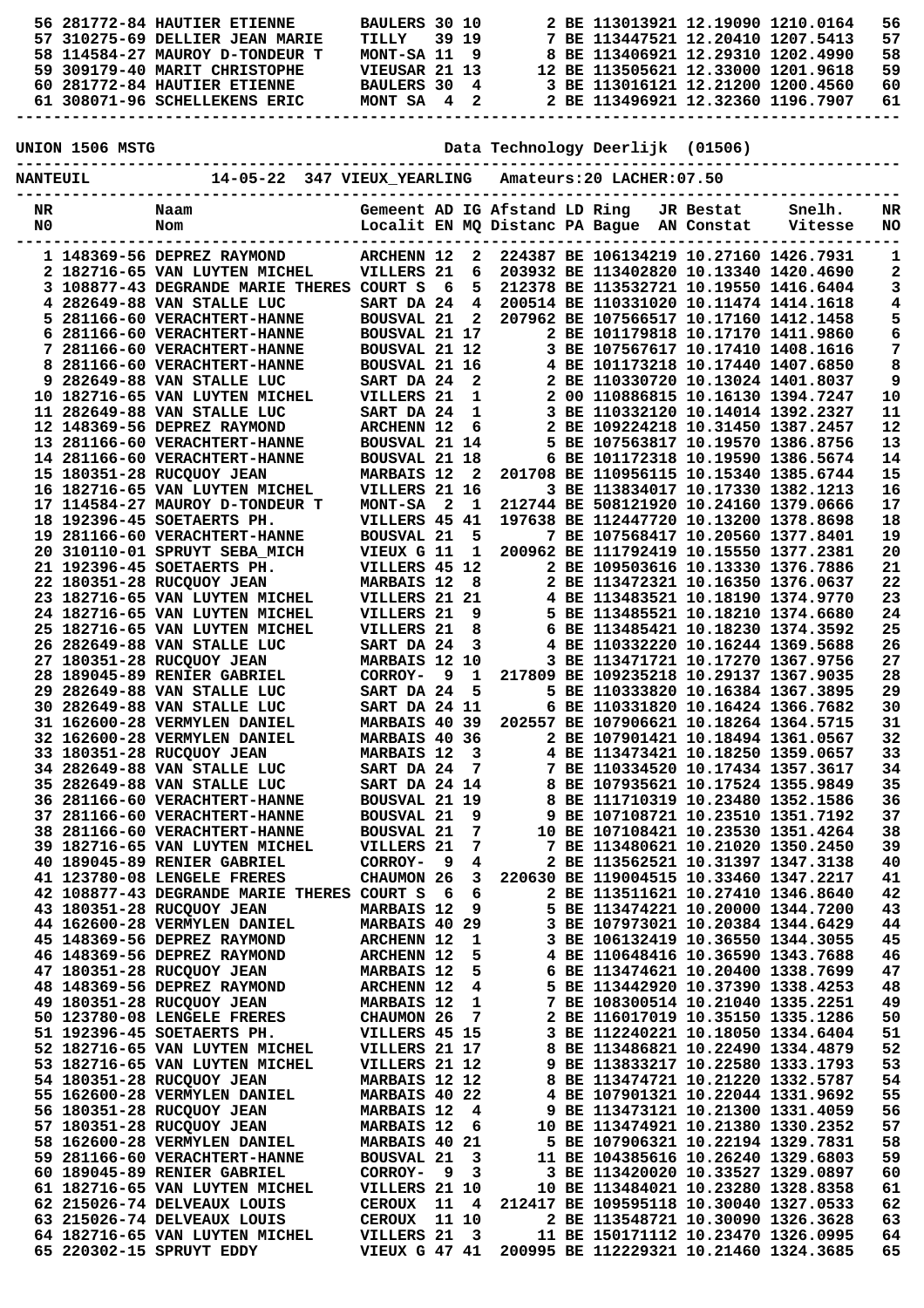|                 |                 | 56 281772-84 HAUTIER ETIENNE                                               | BAULERS 30 10                             |                         |                |                               | 2 BE 113013921 12.19090 1210.0164                                                |           |         | 56       |
|-----------------|-----------------|----------------------------------------------------------------------------|-------------------------------------------|-------------------------|----------------|-------------------------------|----------------------------------------------------------------------------------|-----------|---------|----------|
|                 |                 | 57 310275-69 DELLIER JEAN MARIE<br>58 114584-27 MAUROY D-TONDEUR T         | TILLY<br>MONT-SA 11                       |                         | 39 19<br>9     |                               | 7 BE 113447521 12.20410 1207.5413<br>8 BE 113406921 12.29310 1202.4990           |           |         | 57<br>58 |
|                 |                 | 59 309179-40 MARIT CHRISTOPHE                                              | VIEUSAR 21 13                             |                         |                |                               | 12 BE 113505621 12.33000 1201.9618                                               |           |         | 59       |
|                 |                 | 60 281772-84 HAUTIER ETIENNE                                               | <b>BAULERS 30</b>                         |                         | 4              |                               | 3 BE 113016121 12.21200 1200.4560                                                |           |         | 60       |
|                 |                 | 61 308071-96 SCHELLEKENS ERIC                                              | MONT SA 4 2                               |                         |                |                               | 2 BE 113496921 12.32360 1196.7907                                                |           |         | 61       |
|                 |                 |                                                                            |                                           |                         |                |                               |                                                                                  |           |         |          |
|                 | UNION 1506 MSTG |                                                                            |                                           |                         |                |                               | Data Technology Deerlijk (01506)                                                 |           |         |          |
|                 |                 |                                                                            |                                           |                         |                |                               |                                                                                  |           |         |          |
| <b>NANTEUIL</b> |                 | 14-05-22 347 VIEUX_YEARLING                                                |                                           |                         |                |                               | Amateurs: 20 LACHER: 07.50                                                       |           |         |          |
|                 |                 |                                                                            |                                           |                         |                | Gemeent AD IG Afstand LD Ring |                                                                                  |           | Snelh.  |          |
| NR<br>N0        |                 | Naam<br>Nom                                                                |                                           |                         |                |                               | Localit EN MQ Distanc PA Bague AN Constat                                        | JR Bestat | Vitesse | NR<br>NO |
|                 |                 |                                                                            |                                           |                         |                |                               |                                                                                  |           |         |          |
|                 |                 | 1 148369-56 DEPREZ RAYMOND                                                 | <b>ARCHENN 12</b>                         |                         | 2              |                               | 224387 BE 106134219 10.27160 1426.7931                                           |           |         | 1        |
|                 |                 | 2 182716-65 VAN LUYTEN MICHEL<br>3 108877-43 DEGRANDE MARIE THERES COURT S | VILLERS 21                                |                         | 6<br>5         |                               | 203932 BE 113402820 10.13340 1420.4690<br>212378 BE 113532721 10.19550 1416.6404 |           |         | 2        |
|                 |                 | 4 282649-88 VAN STALLE LUC                                                 | SART DA 24                                | - 6                     | $\overline{4}$ |                               | 200514 BE 110331020 10.11474 1414.1618                                           |           |         | 3<br>4   |
|                 |                 | 5 281166-60 VERACHTERT-HANNE                                               | <b>BOUSVAL 21</b>                         |                         | $\overline{2}$ |                               | 207962 BE 107566517 10.17160 1412.1458                                           |           |         | 5        |
|                 |                 | 6 281166-60 VERACHTERT-HANNE                                               | BOUSVAL 21 17                             |                         |                |                               | 2 BE 101179818 10.17170 1411.9860                                                |           |         | 6        |
|                 |                 | 7 281166-60 VERACHTERT-HANNE                                               | BOUSVAL 21 12                             |                         |                |                               | 3 BE 107567617 10.17410 1408.1616                                                |           |         | 7        |
|                 |                 | 8 281166-60 VERACHTERT-HANNE<br>9 282649-88 VAN STALLE LUC                 | <b>BOUSVAL 21 16</b><br>SART DA 24        |                         | 2              |                               | 4 BE 101173218 10.17440 1407.6850<br>2 BE 110330720 10.13024 1401.8037           |           |         | 8<br>9   |
|                 |                 | 10 182716-65 VAN LUYTEN MICHEL                                             | VILLERS 21                                |                         | $\mathbf{1}$   |                               | 2 00 110886815 10.16130 1394.7247                                                |           |         | 10       |
|                 |                 | 11 282649-88 VAN STALLE LUC                                                | SART DA 24                                |                         | 1              |                               | 3 BE 110332120 10.14014 1392.2327                                                |           |         | 11       |
|                 |                 | 12 148369-56 DEPREZ RAYMOND                                                | <b>ARCHENN 12</b>                         |                         | 6              |                               | 2 BE 109224218 10.31450 1387.2457                                                |           |         | 12       |
|                 |                 | 13 281166-60 VERACHTERT-HANNE                                              | BOUSVAL 21 14                             |                         |                |                               | 5 BE 107563817 10.19570 1386.8756                                                |           |         | 13       |
|                 |                 | 14 281166-60 VERACHTERT-HANNE<br>15 180351-28 RUCQUOY JEAN                 | <b>BOUSVAL 21 18</b><br><b>MARBAIS 12</b> |                         | - 2            |                               | 6 BE 101172318 10.19590 1386.5674<br>201708 BE 110956115 10.15340 1385.6744      |           |         | 14<br>15 |
|                 |                 | 16 182716-65 VAN LUYTEN MICHEL                                             | VILLERS 21 16                             |                         |                |                               | 3 BE 113834017 10.17330 1382.1213                                                |           |         | 16       |
|                 |                 | 17 114584-27 MAUROY D-TONDEUR T                                            | <b>MONT-SA</b>                            | $\overline{\mathbf{2}}$ | 1              |                               | 212744 BE 508121920 10.24160 1379.0666                                           |           |         | 17       |
|                 |                 | 18 192396-45 SOETAERTS PH.                                                 | VILLERS 45 41                             |                         |                |                               | 197638 BE 112447720 10.13200 1378.8698                                           |           |         | 18       |
|                 |                 | 19 281166-60 VERACHTERT-HANNE                                              | <b>BOUSVAL 21</b>                         |                         | 5              |                               | 7 BE 107568417 10.20560 1377.8401                                                |           |         | 19       |
|                 |                 | 20 310110-01 SPRUYT SEBA MICH<br>21 192396-45 SOETAERTS PH.                | VIEUX G 11<br>VILLERS 45 12               |                         | 1              |                               | 200962 BE 111792419 10.15550 1377.2381<br>2 BE 109503616 10.13330 1376.7886      |           |         | 20<br>21 |
|                 |                 | 22 180351-28 RUCQUOY JEAN                                                  | <b>MARBAIS 12</b>                         |                         | 8              |                               | 2 BE 113472321 10.16350 1376.0637                                                |           |         | 22       |
|                 |                 | 23 182716-65 VAN LUYTEN MICHEL                                             | VILLERS 21 21                             |                         |                |                               | 4 BE 113483521 10.18190 1374.9770                                                |           |         | 23       |
|                 |                 | 24 182716-65 VAN LUYTEN MICHEL                                             | VILLERS 21                                |                         | 9              |                               | 5 BE 113485521 10.18210 1374.6680                                                |           |         | 24       |
|                 |                 | 25 182716-65 VAN LUYTEN MICHEL<br>26 282649-88 VAN STALLE LUC              | VILLERS 21                                |                         | 8              |                               | 6 BE 113485421 10.18230 1374.3592<br>4 BE 110332220 10.16244 1369.5688           |           |         | 25<br>26 |
|                 |                 | 27 180351-28 RUCQUOY JEAN                                                  | SART DA 24<br>MARBAIS 12 10               |                         | 3              |                               | 3 BE 113471721 10.17270 1367.9756                                                |           |         | 27       |
|                 |                 | 28 189045-89 RENIER GABRIEL                                                | CORROY-                                   | 9                       | 1              |                               | 217809 BE 109235218 10.29137 1367.9035                                           |           |         | 28       |
|                 |                 | 29 282649-88 VAN STALLE LUC                                                | SART DA 24                                |                         | 5              |                               | 5 BE 110333820 10.16384 1367.3895                                                |           |         | 29       |
|                 |                 | 30 282649-88 VAN STALLE LUC                                                | SART DA 24 11                             |                         |                |                               | 6 BE 110331820 10.16424 1366.7682                                                |           |         | 30       |
|                 |                 | 31 162600-28 VERMYLEN DANIEL<br>32 162600-28 VERMYLEN DANIEL               | <b>MARBAIS 40 39</b><br>MARBAIS 40 36     |                         |                |                               | 202557 BE 107906621 10.18264 1364.5715<br>2 BE 107901421 10.18494 1361.0567      |           |         | 31<br>32 |
|                 |                 | 33 180351-28 RUCQUOY JEAN                                                  | <b>MARBAIS 12</b>                         |                         | - 3            |                               | 4 BE 113473421 10.18250 1359.0657                                                |           |         | 33       |
|                 |                 | 34 282649-88 VAN STALLE LUC                                                | SART DA 24                                |                         | - 7            |                               | 7 BE 110334520 10.17434 1357.3617                                                |           |         | 34       |
|                 |                 | 35 282649-88 VAN STALLE LUC                                                | <b>SART DA 24 14</b>                      |                         |                |                               | 8 BE 107935621 10.17524 1355.9849                                                |           |         | 35       |
|                 |                 | 36 281166-60 VERACHTERT-HANNE                                              | BOUSVAL 21 19                             |                         |                |                               | 8 BE 111710319 10.23480 1352.1586                                                |           |         | 36       |
|                 |                 | 37 281166-60 VERACHTERT-HANNE<br>38 281166-60 VERACHTERT-HANNE             | <b>BOUSVAL 21</b><br><b>BOUSVAL 21</b>    |                         | 9<br>7         |                               | 9 BE 107108721 10.23510 1351.7192<br>10 BE 107108421 10.23530 1351.4264          |           |         | 37<br>38 |
|                 |                 | 39 182716-65 VAN LUYTEN MICHEL                                             | VILLERS 21                                |                         | 7              |                               | 7 BE 113480621 10.21020 1350.2450                                                |           |         | 39       |
|                 |                 | 40 189045-89 RENIER GABRIEL                                                | CORROY-                                   | - 9                     | 4              |                               | 2 BE 113562521 10.31397 1347.3138                                                |           |         | 40       |
|                 |                 | 41 123780-08 LENGELE FRERES                                                | CHAUMON 26                                |                         | 3              |                               | 220630 BE 119004515 10.33460 1347.2217                                           |           |         | 41       |
|                 |                 | 42 108877-43 DEGRANDE MARIE THERES COURT S<br>43 180351-28 RUCQUOY JEAN    | <b>MARBAIS 12</b>                         | -6                      | 6<br>9         |                               | 2 BE 113511621 10.27410 1346.8640<br>5 BE 113474221 10.20000 1344.7200           |           |         | 42<br>43 |
|                 |                 | 44 162600-28 VERMYLEN DANIEL                                               | MARBAIS 40 29                             |                         |                |                               | 3 BE 107973021 10.20384 1344.6429                                                |           |         | 44       |
|                 |                 | 45 148369-56 DEPREZ RAYMOND                                                | <b>ARCHENN 12</b>                         |                         | 1              |                               | 3 BE 106132419 10.36550 1344.3055                                                |           |         | 45       |
|                 |                 | 46 148369-56 DEPREZ RAYMOND                                                | <b>ARCHENN 12</b>                         |                         | 5              |                               | 4 BE 110648416 10.36590 1343.7688                                                |           |         | 46       |
|                 |                 | 47 180351-28 RUCQUOY JEAN                                                  | <b>MARBAIS 12</b>                         |                         | 5              |                               | 6 BE 113474621 10.20400 1338.7699                                                |           |         | 47       |
|                 |                 | 48 148369-56 DEPREZ RAYMOND<br>49 180351-28 RUCQUOY JEAN                   | <b>ARCHENN 12</b><br><b>MARBAIS 12</b>    |                         | 4<br>1         |                               | 5 BE 113442920 10.37390 1338.4253<br>7 BE 108300514 10.21040 1335.2251           |           |         | 48<br>49 |
|                 |                 | 50 123780-08 LENGELE FRERES                                                | CHAUMON 26                                |                         | 7              |                               | 2 BE 116017019 10.35150 1335.1286                                                |           |         | 50       |
|                 |                 | 51 192396-45 SOETAERTS PH.                                                 | VILLERS 45 15                             |                         |                |                               | 3 BE 112240221 10.18050 1334.6404                                                |           |         | 51       |
|                 |                 | 52 182716-65 VAN LUYTEN MICHEL                                             | VILLERS 21 17                             |                         |                |                               | 8 BE 113486821 10.22490 1334.4879                                                |           |         | 52       |
|                 |                 | 53 182716-65 VAN LUYTEN MICHEL<br>54 180351-28 RUCQUOY JEAN                | VILLERS 21 12<br>MARBAIS 12 12            |                         |                |                               | 9 BE 113833217 10.22580 1333.1793<br>8 BE 113474721 10.21220 1332.5787           |           |         | 53<br>54 |
|                 |                 | 55 162600-28 VERMYLEN DANIEL                                               | MARBAIS 40 22                             |                         |                |                               | 4 BE 107901321 10.22044 1331.9692                                                |           |         | 55       |
|                 |                 | 56 180351-28 RUCQUOY JEAN                                                  | <b>MARBAIS 12</b>                         |                         | 4              |                               | 9 BE 113473121 10.21300 1331.4059                                                |           |         | 56       |
|                 |                 | 57 180351-28 RUCQUOY JEAN                                                  | <b>MARBAIS 12</b>                         |                         | 6              |                               | 10 BE 113474921 10.21380 1330.2352                                               |           |         | 57       |
|                 |                 | 58 162600-28 VERMYLEN DANIEL                                               | MARBAIS 40 21                             |                         |                |                               | 5 BE 107906321 10.22194 1329.7831                                                |           |         | 58       |
|                 |                 | 59 281166-60 VERACHTERT-HANNE<br>60 189045-89 RENIER GABRIEL               | <b>BOUSVAL 21</b><br>CORROY-              | - 9                     | 3<br>3         |                               | 11 BE 104385616 10.26240 1329.6803<br>3 BE 113420020 10.33527 1329.0897          |           |         | 59<br>60 |
|                 |                 | 61 182716-65 VAN LUYTEN MICHEL                                             | VILLERS 21 10                             |                         |                |                               | 10 BE 113484021 10.23280 1328.8358                                               |           |         | 61       |
|                 |                 | 62 215026-74 DELVEAUX LOUIS                                                | <b>CEROUX</b>                             | 11                      | 4              |                               | 212417 BE 109595118 10.30040 1327.0533                                           |           |         | 62       |
|                 |                 | 63 215026-74 DELVEAUX LOUIS                                                | <b>CEROUX</b>                             |                         | 11 10          |                               | 2 BE 113548721 10.30090 1326.3628                                                |           |         | 63       |
|                 |                 | 64 182716-65 VAN LUYTEN MICHEL<br>65 220302-15 SPRUYT EDDY                 | VILLERS 21<br>VIEUX G 47 41               |                         | $_{3}$         |                               | 11 BE 150171112 10.23470 1326.0995<br>200995 BE 112229321 10.21460 1324.3685     |           |         | 64<br>65 |
|                 |                 |                                                                            |                                           |                         |                |                               |                                                                                  |           |         |          |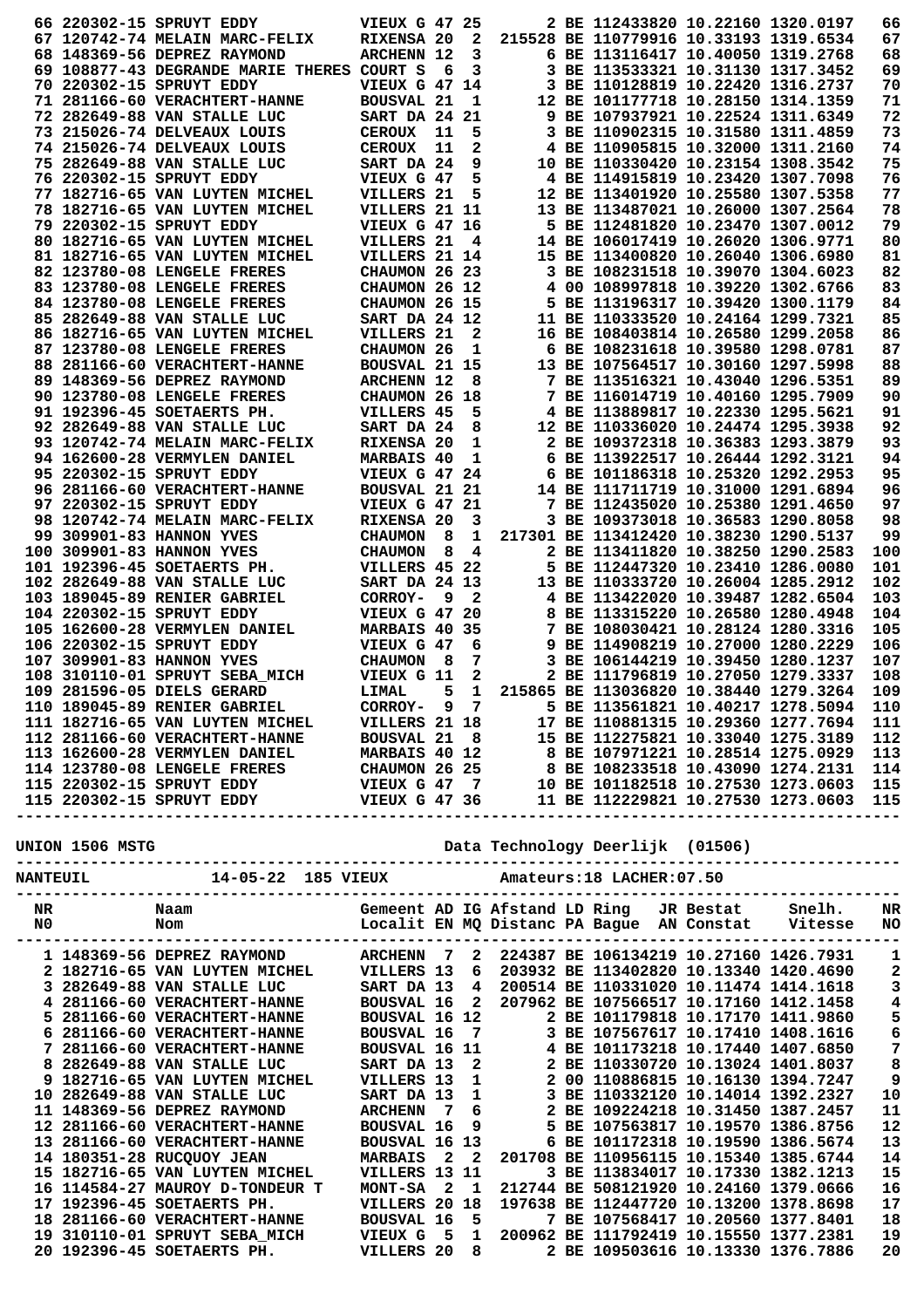|             |                 | 66 220302-15 SPRUYT EDDY                                                                                                                                                                                                                   | <b>VIEUX G 47 25</b> |    |              |  | 2 BE 112433820 10.22160 1320.0197      |                                                      | 66  |
|-------------|-----------------|--------------------------------------------------------------------------------------------------------------------------------------------------------------------------------------------------------------------------------------------|----------------------|----|--------------|--|----------------------------------------|------------------------------------------------------|-----|
|             |                 | 67 120742-74 MELAIN MARC-FELIX                                                                                                                                                                                                             | RIXENSA 20           |    | $\mathbf{2}$ |  | 215528 BE 110779916 10.33193 1319.6534 |                                                      | 67  |
|             |                 | 68 148369-56 DEPREZ RAYMOND                                                                                                                                                                                                                | <b>ARCHENN 12</b>    |    | 3            |  | 6 BE 113116417 10.40050 1319.2768      |                                                      | 68  |
|             |                 | 69 108877-43 DEGRANDE MARIE THERES COURT S                                                                                                                                                                                                 |                      | -6 | 3            |  | 3 BE 113533321 10.31130 1317.3452      |                                                      | 69  |
|             |                 | 70 220302-15 SPRUYT EDDY                                                                                                                                                                                                                   | <b>VIEUX G 47 14</b> |    |              |  | 3 BE 110128819 10.22420 1316.2737      |                                                      | 70  |
|             |                 | 71 281166-60 VERACHTERT-HANNE                                                                                                                                                                                                              | <b>BOUSVAL 21</b>    |    | 1            |  | 12 BE 101177718 10.28150 1314.1359     |                                                      | 71  |
|             |                 | 72 282649-88 VAN STALLE LUC                                                                                                                                                                                                                | SART DA 24           |    | 21           |  | 9 BE 107937921 10.22524 1311.6349      |                                                      | 72  |
|             |                 | 73 215026-74 DELVEAUX LOUIS                                                                                                                                                                                                                | <b>CEROUX</b>        | 11 | 5            |  | 3 BE 110902315 10.31580 1311.4859      |                                                      | 73  |
|             |                 | 74 215026-74 DELVEAUX LOUIS                                                                                                                                                                                                                | <b>CEROUX</b>        | 11 | 2            |  | 4 BE 110905815 10.32000 1311.2160      |                                                      | 74  |
|             |                 | 75 282649-88 VAN STALLE LUC                                                                                                                                                                                                                | SART DA 24           |    | 9            |  | 10 BE 110330420 10.23154 1308.3542     |                                                      | 75  |
|             |                 | 76 220302-15 SPRUYT EDDY                                                                                                                                                                                                                   | VIEUX G 47           |    | 5            |  | 4 BE 114915819 10.23420 1307.7098      |                                                      | 76  |
|             |                 | 77 182716-65 VAN LUYTEN MICHEL                                                                                                                                                                                                             | VILLERS 21           |    | 5            |  | 12 BE 113401920 10.25580 1307.5358     |                                                      | 77  |
|             |                 | 78 182716-65 VAN LUYTEN MICHEL                                                                                                                                                                                                             | VILLERS 21 11        |    |              |  | 13 BE 113487021 10.26000 1307.2564     |                                                      | 78  |
|             |                 | 79 220302-15 SPRUYT EDDY                                                                                                                                                                                                                   | <b>VIEUX G 47 16</b> |    |              |  | 5 BE 112481820 10.23470 1307.0012      |                                                      | 79  |
|             |                 | 80 182716-65 VAN LUYTEN MICHEL                                                                                                                                                                                                             | VILLERS 21           |    | 4            |  | 14 BE 106017419 10.26020 1306.9771     |                                                      | 80  |
|             |                 | 81 182716-65 VAN LUYTEN MICHEL                                                                                                                                                                                                             | VILLERS 21 14        |    |              |  | 15 BE 113400820 10.26040 1306.6980     |                                                      | 81  |
|             |                 | 82 123780-08 LENGELE FRERES                                                                                                                                                                                                                | CHAUMON 26 23        |    |              |  | 3 BE 108231518 10.39070 1304.6023      |                                                      | 82  |
|             |                 | 83 123780-08 LENGELE FRERES                                                                                                                                                                                                                | CHAUMON 26 12        |    |              |  | 4 00 108997818 10.39220 1302.6766      |                                                      | 83  |
|             |                 | 84 123780-08 LENGELE FRERES                                                                                                                                                                                                                | CHAUMON 26 15        |    |              |  | 5 BE 113196317 10.39420 1300.1179      |                                                      | 84  |
|             |                 | 85 282649-88 VAN STALLE LUC                                                                                                                                                                                                                | SART DA 24 12        |    |              |  | 11 BE 110333520 10.24164 1299.7321     |                                                      | 85  |
|             |                 | 86 182716-65 VAN LUYTEN MICHEL                                                                                                                                                                                                             | VILLERS 21           |    | 2            |  | 16 BE 108403814 10.26580 1299.2058     |                                                      | 86  |
|             |                 | 87 123780-08 LENGELE FRERES                                                                                                                                                                                                                | CHAUMON 26           |    | 1            |  | 6 BE 108231618 10.39580 1298.0781      |                                                      | 87  |
|             |                 | 88 281166-60 VERACHTERT-HANNE                                                                                                                                                                                                              | <b>BOUSVAL 21 15</b> |    |              |  | 13 BE 107564517 10.30160 1297.5998     |                                                      | 88  |
|             |                 | 89 148369-56 DEPREZ RAYMOND                                                                                                                                                                                                                | <b>ARCHENN 12</b>    |    | 8            |  | 7 BE 113516321 10.43040 1296.5351      |                                                      | 89  |
|             |                 | 90 123780-08 LENGELE FRERES                                                                                                                                                                                                                | CHAUMON 26 18        |    |              |  | 7 BE 116014719 10.40160 1295.7909      |                                                      | 90  |
|             |                 | 91 192396-45 SOETAERTS PH.                                                                                                                                                                                                                 | VILLERS 45           |    | 5            |  | 4 BE 113889817 10.22330 1295.5621      |                                                      | 91  |
|             |                 | 92 282649-88 VAN STALLE LUC                                                                                                                                                                                                                | SART DA 24           |    | 8            |  | 12 BE 110336020 10.24474 1295.3938     |                                                      | 92  |
|             |                 | 93 120742-74 MELAIN MARC-FELIX                                                                                                                                                                                                             | RIXENSA 20           |    | 1            |  | 2 BE 109372318 10.36383 1293.3879      |                                                      | 93  |
|             |                 | 94 162600-28 VERMYLEN DANIEL                                                                                                                                                                                                               | <b>MARBAIS 40</b>    |    | 1            |  | 6 BE 113922517 10.26444 1292.3121      |                                                      | 94  |
|             |                 | 95 220302-15 SPRUYT EDDY                                                                                                                                                                                                                   | <b>VIEUX G 47 24</b> |    |              |  | 6 BE 101186318 10.25320 1292.2953      |                                                      | 95  |
|             |                 | 96 281166-60 VERACHTERT-HANNE                                                                                                                                                                                                              | BOUSVAL 21 21        |    |              |  | 14 BE 111711719 10.31000 1291.6894     |                                                      | 96  |
|             |                 | 97 220302-15 SPRUYT EDDY                                                                                                                                                                                                                   | <b>VIEUX G 47 21</b> |    |              |  | 7 BE 112435020 10.25380 1291.4650      |                                                      | 97  |
|             |                 | 98 120742-74 MELAIN MARC-FELIX                                                                                                                                                                                                             | RIXENSA 20           |    | 3            |  | 3 BE 109373018 10.36583 1290.8058      |                                                      | 98  |
|             |                 | 99 309901-83 HANNON YVES                                                                                                                                                                                                                   | <b>CHAUMON</b>       | 8  | 1            |  | 217301 BE 113412420 10.38230 1290.5137 |                                                      | 99  |
|             |                 | 100 309901-83 HANNON YVES                                                                                                                                                                                                                  | <b>CHAUMON</b>       | 8  | 4            |  | 2 BE 113411820 10.38250 1290.2583      |                                                      | 100 |
|             |                 | 101 192396-45 SOETAERTS PH.                                                                                                                                                                                                                | VILLERS 45 22        |    |              |  | 5 BE 112447320 10.23410 1286.0080      |                                                      | 101 |
|             |                 | 102 282649-88 VAN STALLE LUC                                                                                                                                                                                                               | SART DA 24 13        |    |              |  | 13 BE 110333720 10.26004 1285.2912     |                                                      | 102 |
|             |                 | 103 189045-89 RENIER GABRIEL                                                                                                                                                                                                               | CORROY-              | 9  | $\mathbf{2}$ |  | 4 BE 113422020 10.39487 1282.6504      |                                                      | 103 |
|             |                 | 104 220302-15 SPRUYT EDDY                                                                                                                                                                                                                  | VIEUX G 47 20        |    |              |  | 8 BE 113315220 10.26580 1280.4948      |                                                      | 104 |
|             |                 | 105 162600-28 VERMYLEN DANIEL                                                                                                                                                                                                              | MARBAIS 40 35        |    |              |  | 7 BE 108030421 10.28124 1280.3316      |                                                      | 105 |
|             |                 | 106 220302-15 SPRUYT EDDY                                                                                                                                                                                                                  | VIEUX G 47           |    | 6            |  | 9 BE 114908219 10.27000 1280.2229      |                                                      | 106 |
|             |                 | 107 309901-83 HANNON YVES                                                                                                                                                                                                                  | <b>CHAUMON</b>       | 8  | 7            |  | 3 BE 106144219 10.39450 1280.1237      |                                                      | 107 |
|             |                 | 108 310110-01 SPRUYT SEBA MICH                                                                                                                                                                                                             | VIEUX G 11           |    | 2            |  | 2 BE 111796819 10.27050 1279.3337      |                                                      | 108 |
|             |                 | 109 281596-05 DIELS GERARD                                                                                                                                                                                                                 | LIMAL                | 5  | 1            |  | 215865 BE 113036820 10.38440 1279.3264 |                                                      | 109 |
|             |                 | 110 189045-89 RENIER GABRIEL CORROY- 9 7 5 BE 113561821 10.40217 1278.5094                                                                                                                                                                 |                      |    |              |  |                                        |                                                      | 110 |
|             |                 |                                                                                                                                                                                                                                            |                      |    |              |  |                                        |                                                      |     |
|             |                 |                                                                                                                                                                                                                                            |                      |    |              |  |                                        |                                                      |     |
|             |                 |                                                                                                                                                                                                                                            |                      |    |              |  |                                        |                                                      |     |
|             |                 |                                                                                                                                                                                                                                            |                      |    |              |  |                                        |                                                      |     |
|             |                 |                                                                                                                                                                                                                                            |                      |    |              |  |                                        |                                                      |     |
|             |                 | 111 182716-65 VAN LUYTEN MICHEL<br>112 281166-60 VERACHTERT-HANNE<br>112 281166-60 VERACHTERT-HANNE<br>112 281166-60 VERACHTERT-HANNE<br>112 281166-60 VERACHTERT-HANNE<br>112 281166-60 VERACHTERT-HANNE<br>112 281166-60 VERACHTERT-HANN |                      |    |              |  |                                        |                                                      |     |
|             |                 |                                                                                                                                                                                                                                            |                      |    |              |  |                                        |                                                      |     |
|             |                 |                                                                                                                                                                                                                                            |                      |    |              |  |                                        |                                                      |     |
|             |                 | NANTEUIL 14-05-22 185 VIEUX Amateurs:18 LACHER:07.50                                                                                                                                                                                       |                      |    |              |  |                                        |                                                      |     |
| $N_{\rm R}$ |                 |                                                                                                                                                                                                                                            |                      |    |              |  |                                        |                                                      |     |
|             | NO <sub>1</sub> |                                                                                                                                                                                                                                            |                      |    |              |  |                                        |                                                      |     |
|             |                 |                                                                                                                                                                                                                                            |                      |    |              |  |                                        |                                                      |     |
|             |                 | 1 148369-56 DEPREZ RAYMOND                                                                                                                                                                                                                 |                      |    |              |  |                                        | ARCHENN 7 2 224387 BE 106134219 10.27160 1426.7931 1 |     |
|             |                 | 1 182716-65 VAN LUYTEN MICHEL MULLERS 13 6 203932 BE 113402820 10.13340 1420.4690 2<br>2 182716-65 VAN LUYTEN MICHEL SART DA 13 4 200514 BE 113402820 10.13340 1420.4690 2<br>3 282649-88 VAN STALLE LUC SART DA 13 4 200514 BE 11         |                      |    |              |  |                                        |                                                      |     |
|             |                 |                                                                                                                                                                                                                                            |                      |    |              |  |                                        |                                                      |     |
|             |                 |                                                                                                                                                                                                                                            |                      |    |              |  |                                        |                                                      |     |
|             |                 |                                                                                                                                                                                                                                            |                      |    |              |  |                                        |                                                      | 5.  |

|  | I 148369-56 DEPREZ RAYMOND           | ARCHENN           |                         |  | 224387 BE 106134219 10.27160 1426.7931 |                                        |                   |
|--|--------------------------------------|-------------------|-------------------------|--|----------------------------------------|----------------------------------------|-------------------|
|  | 2 182716-65 VAN LUYTEN MICHEL        | VILLERS 13        | 6                       |  |                                        | 203932 BE 113402820 10.13340 1420.4690 |                   |
|  | 3 282649-88 VAN STALLE LUC           | SART DA 13        | 4                       |  |                                        | 200514 BE 110331020 10.11474 1414.1618 |                   |
|  | 4 281166-60 VERACHTERT-HANNE         | <b>BOUSVAL 16</b> | - 2                     |  |                                        | 207962 BE 107566517 10.17160 1412.1458 | 4                 |
|  | 5 281166-60 VERACHTERT-HANNE         | BOUSVAL 16 12     |                         |  |                                        | 2 BE 101179818 10.17170 1411.9860      | 5                 |
|  | 6 281166-60 VERACHTERT-HANNE         | BOUSVAL 16 7      |                         |  |                                        | 3 BE 107567617 10.17410 1408.1616      | 6                 |
|  | 7 281166-60 VERACHTERT-HANNE         | BOUSVAL 16 11     |                         |  |                                        | 4 BE 101173218 10.17440 1407.6850      | 7                 |
|  | 8 282649-88 VAN STALLE LUC           | SART DA 13        | $\overline{\mathbf{2}}$ |  |                                        | 2 BE 110330720 10.13024 1401.8037      | 8                 |
|  | 9 182716-65 VAN LUYTEN MICHEL        | VILLERS 13        | $\mathbf{1}$            |  |                                        | 2 00 110886815 10.16130 1394.7247      | 9                 |
|  | 10 282649-88 VAN STALLE LUC          | SART DA 13        | $\mathbf{1}$            |  |                                        | 3 BE 110332120 10.14014 1392.2327      | 10                |
|  | 11 148369-56 DEPREZ RAYMOND          | ARCHENN 7 6       |                         |  |                                        | 2 BE 109224218 10.31450 1387.2457      | 11                |
|  | <b>12 281166-60 VERACHTERT-HANNE</b> | BOUSVAL 16 9      |                         |  |                                        | 5 BE 107563817 10.19570 1386.8756      | $12 \overline{ }$ |
|  | 13 281166-60 VERACHTERT-HANNE        | BOUSVAL 16 13     |                         |  |                                        | 6 BE 101172318 10.19590 1386.5674      | 13                |
|  | 14 180351-28 RUCQUOY JEAN            | <b>MARBAIS</b>    | 2 2                     |  |                                        | 201708 BE 110956115 10.15340 1385.6744 | 14                |
|  | 15 182716-65 VAN LUYTEN MICHEL       | VILLERS 13 11     |                         |  |                                        | 3 BE 113834017 10.17330 1382.1213      | 15                |
|  | 16 114584-27 MAUROY D-TONDEUR T      | $MONT-SA 2 1$     |                         |  |                                        | 212744 BE 508121920 10.24160 1379.0666 | 16                |
|  | 17 192396-45 SOETAERTS PH.           | VILLERS 20 18     |                         |  |                                        | 197638 BE 112447720 10.13200 1378.8698 | 17                |
|  | 18 281166-60 VERACHTERT-HANNE        | BOUSVAL 16 5      |                         |  |                                        | 7 BE 107568417 10.20560 1377.8401      | 18                |
|  | 19 310110-01 SPRUYT SEBA MICH        | VIEUX G 5 1       |                         |  |                                        | 200962 BE 111792419 10.15550 1377.2381 | 19                |
|  | 20 192396-45 SOETAERTS PH.           | VILLERS 20 8      |                         |  |                                        | 2 BE 109503616 10.13330 1376.7886      | 20                |
|  |                                      |                   |                         |  |                                        |                                        |                   |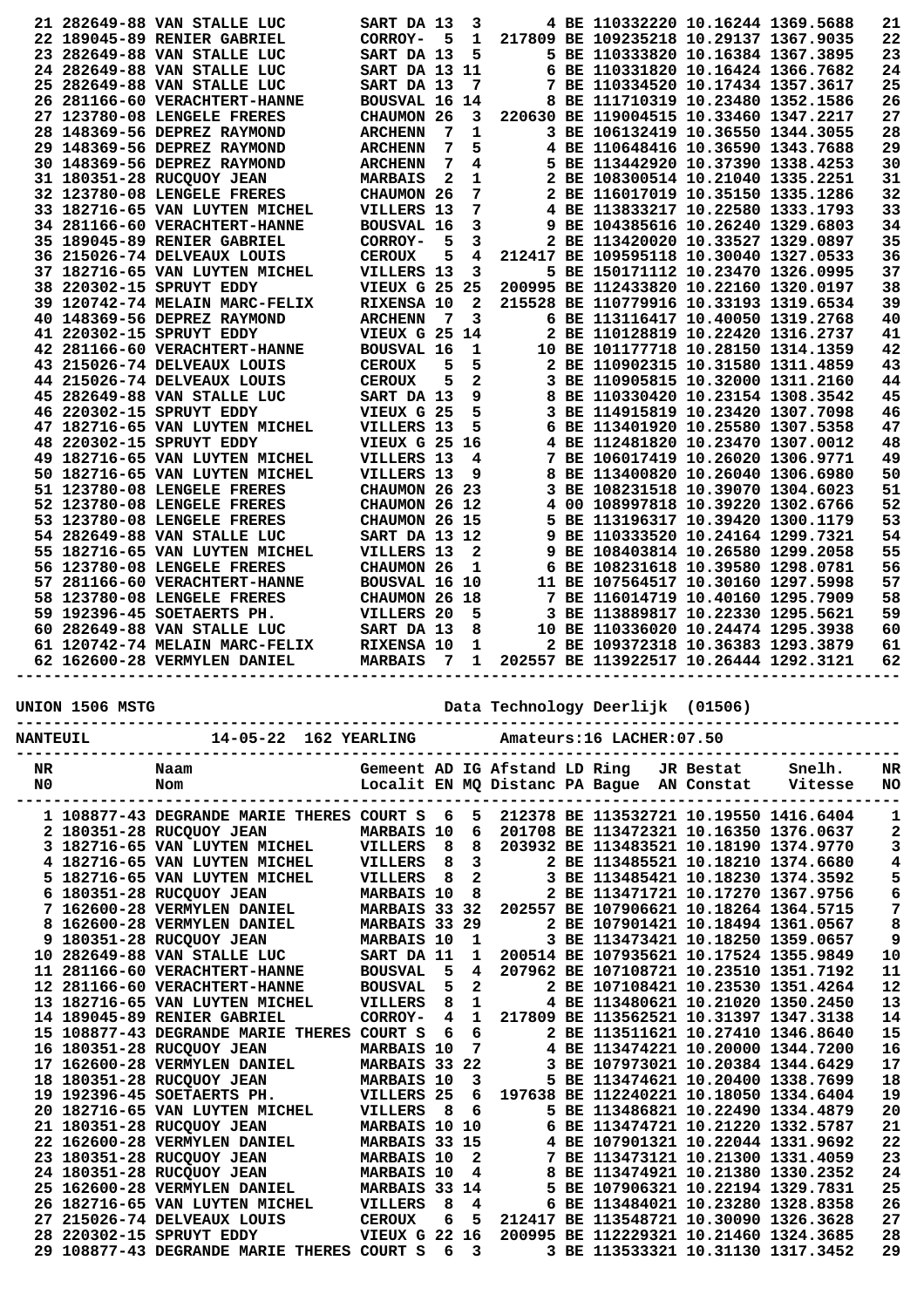| 217809 BE 109235218 10.29137 1367.9035<br>22<br>22 189045-89 RENIER GABRIEL<br>CORROY-<br>5<br>1<br>23<br>23 282649-88 VAN STALLE LUC<br>5<br>5 BE 110333820 10.16384 1367.3895<br>SART DA 13<br>24<br>24 282649-88 VAN STALLE LUC<br>SART DA 13 11<br>6 BE 110331820 10.16424 1366.7682<br>7 BE 110334520 10.17434 1357.3617<br>25<br>25 282649-88 VAN STALLE LUC<br>SART DA 13<br>7<br>26 281166-60 VERACHTERT-HANNE<br>8 BE 111710319 10.23480 1352.1586<br>26<br>BOUSVAL 16 14<br>27 123780-08 LENGELE FRERES<br>CHAUMON 26<br>220630 BE 119004515 10.33460 1347.2217<br>27<br>3<br>28 148369-56 DEPREZ RAYMOND<br>7<br>1<br>3 BE 106132419 10.36550 1344.3055<br>28<br><b>ARCHENN</b><br>7<br>29<br>29 148369-56 DEPREZ RAYMOND<br>5<br>4 BE 110648416 10.36590 1343.7688<br><b>ARCHENN</b><br>30 148369-56 DEPREZ RAYMOND<br>5 BE 113442920 10.37390 1338.4253<br>30<br>7<br><b>ARCHENN</b><br>4<br>31 180351-28 RUCQUOY JEAN<br>$\mathbf{2}$<br>1<br>2 BE 108300514 10.21040 1335.2251<br>31<br><b>MARBAIS</b><br>2 BE 116017019 10.35150 1335.1286<br>32<br>32 123780-08 LENGELE FRERES<br>7<br>CHAUMON 26<br>7<br>4 BE 113833217 10.22580 1333.1793<br>33<br>33 182716-65 VAN LUYTEN MICHEL<br>VILLERS 13<br>3<br>9 BE 104385616 10.26240 1329.6803<br>34<br>34 281166-60 VERACHTERT-HANNE<br><b>BOUSVAL 16</b><br>5<br>3<br>2 BE 113420020 10.33527 1329.0897<br>35<br>35 189045-89 RENIER GABRIEL<br>CORROY-<br>36<br>36 215026-74 DELVEAUX LOUIS<br><b>CEROUX</b><br>5<br>212417 BE 109595118 10.30040 1327.0533<br>4<br>5 BE 150171112 10.23470 1326.0995<br>37<br>37 182716-65 VAN LUYTEN MICHEL<br>VILLERS 13<br>3<br>200995 BE 112433820 10.22160 1320.0197<br>38<br>38 220302-15 SPRUYT EDDY<br>VIEUX G 25 25<br>39<br>39 120742-74 MELAIN MARC-FELIX<br>RIXENSA 10<br>$\mathbf{2}$<br>215528 BE 110779916 10.33193 1319.6534<br>3<br>6 BE 113116417 10.40050 1319.2768<br>40<br>40 148369-56 DEPREZ RAYMOND<br>7<br><b>ARCHENN</b><br>41 220302-15 SPRUYT EDDY<br>VIEUX G 25 14<br>2 BE 110128819 10.22420 1316.2737<br>41<br>10 BE 101177718 10.28150 1314.1359<br>42<br>42 281166-60 VERACHTERT-HANNE<br><b>BOUSVAL 16</b><br>1<br>43 215026-74 DELVEAUX LOUIS<br>5<br>2 BE 110902315 10.31580 1311.4859<br>43<br><b>CEROUX</b><br>5<br>$\mathbf{2}$<br>44<br>44 215026-74 DELVEAUX LOUIS<br>5<br>3 BE 110905815 10.32000 1311.2160<br><b>CEROUX</b><br>9<br>8 BE 110330420 10.23154 1308.3542<br>45<br>45 282649-88 VAN STALLE LUC<br>SART DA 13<br>46<br>46 220302-15 SPRUYT EDDY<br>5<br>3 BE 114915819 10.23420 1307.7098<br>VIEUX G 25<br>6 BE 113401920 10.25580 1307.5358<br>47<br>47 182716-65 VAN LUYTEN MICHEL<br>5<br>VILLERS 13<br>48<br>48 220302-15 SPRUYT EDDY<br>VIEUX G 25 16<br>4 BE 112481820 10.23470 1307.0012<br>VILLERS 13<br>7 BE 106017419 10.26020 1306.9771<br>49<br>49 182716-65 VAN LUYTEN MICHEL<br>4<br>8 BE 113400820 10.26040 1306.6980<br>50<br>50 182716-65 VAN LUYTEN MICHEL<br>VILLERS 13<br>9<br>51<br>51 123780-08 LENGELE FRERES<br>CHAUMON 26 23<br>3 BE 108231518 10.39070 1304.6023<br>52<br>4 00 108997818 10.39220 1302.6766<br>52 123780-08 LENGELE FRERES<br>CHAUMON 26 12<br>53 123780-08 LENGELE FRERES<br>5 BE 113196317 10.39420 1300.1179<br>53<br>CHAUMON 26 15<br>54<br>54 282649-88 VAN STALLE LUC<br>SART DA 13 12<br>9 BE 110333520 10.24164 1299.7321<br>55 182716-65 VAN LUYTEN MICHEL<br>$\mathbf{2}$<br>9 BE 108403814 10.26580 1299.2058<br>55<br>VILLERS 13<br>56<br>56 123780-08 LENGELE FRERES<br>CHAUMON 26<br>6 BE 108231618 10.39580 1298.0781<br>1<br>57<br>57 281166-60 VERACHTERT-HANNE<br><b>BOUSVAL 16 10</b><br>11 BE 107564517 10.30160 1297.5998<br>58<br>58 123780-08 LENGELE FRERES<br>CHAUMON 26 18<br>7 BE 116014719 10.40160 1295.7909<br>3 BE 113889817 10.22330 1295.5621<br>59<br>59 192396-45 SOETAERTS PH.<br>VILLERS 20<br>5<br>10 BE 110336020 10.24474 1295.3938<br>60 282649-88 VAN STALLE LUC<br>SART DA 13<br>8<br>60<br>61 120742-74 MELAIN MARC-FELIX<br>2 BE 109372318 10.36383 1293.3879<br>61<br>RIXENSA 10<br>1<br>202557 BE 113922517 10.26444 1292.3121<br>62<br>62 162600-28 VERMYLEN DANIEL<br><b>MARBAIS</b><br>$\overline{7}$<br>$\mathbf{1}$ | 21 282649-88 VAN STALLE LUC | SART DA 13 | 3 |  | 4 BE 110332220 10.16244 1369.5688 |  | 21 |
|---------------------------------------------------------------------------------------------------------------------------------------------------------------------------------------------------------------------------------------------------------------------------------------------------------------------------------------------------------------------------------------------------------------------------------------------------------------------------------------------------------------------------------------------------------------------------------------------------------------------------------------------------------------------------------------------------------------------------------------------------------------------------------------------------------------------------------------------------------------------------------------------------------------------------------------------------------------------------------------------------------------------------------------------------------------------------------------------------------------------------------------------------------------------------------------------------------------------------------------------------------------------------------------------------------------------------------------------------------------------------------------------------------------------------------------------------------------------------------------------------------------------------------------------------------------------------------------------------------------------------------------------------------------------------------------------------------------------------------------------------------------------------------------------------------------------------------------------------------------------------------------------------------------------------------------------------------------------------------------------------------------------------------------------------------------------------------------------------------------------------------------------------------------------------------------------------------------------------------------------------------------------------------------------------------------------------------------------------------------------------------------------------------------------------------------------------------------------------------------------------------------------------------------------------------------------------------------------------------------------------------------------------------------------------------------------------------------------------------------------------------------------------------------------------------------------------------------------------------------------------------------------------------------------------------------------------------------------------------------------------------------------------------------------------------------------------------------------------------------------------------------------------------------------------------------------------------------------------------------------------------------------------------------------------------------------------------------------------------------------------------------------------------------------------------------------------------------------------------------------------------------------------------------------------------------------------------------------------------------------------------------------------------------------------------------------------------------------------------------------------------------------------------------------------------------------------------------------------------------------------------------------------------------------------------------------------------------------------------------------------------------------------------------------------------------------------------------------------------------------------------------------------------------------------|-----------------------------|------------|---|--|-----------------------------------|--|----|
|                                                                                                                                                                                                                                                                                                                                                                                                                                                                                                                                                                                                                                                                                                                                                                                                                                                                                                                                                                                                                                                                                                                                                                                                                                                                                                                                                                                                                                                                                                                                                                                                                                                                                                                                                                                                                                                                                                                                                                                                                                                                                                                                                                                                                                                                                                                                                                                                                                                                                                                                                                                                                                                                                                                                                                                                                                                                                                                                                                                                                                                                                                                                                                                                                                                                                                                                                                                                                                                                                                                                                                                                                                                                                                                                                                                                                                                                                                                                                                                                                                                                                                                                                                           |                             |            |   |  |                                   |  |    |
|                                                                                                                                                                                                                                                                                                                                                                                                                                                                                                                                                                                                                                                                                                                                                                                                                                                                                                                                                                                                                                                                                                                                                                                                                                                                                                                                                                                                                                                                                                                                                                                                                                                                                                                                                                                                                                                                                                                                                                                                                                                                                                                                                                                                                                                                                                                                                                                                                                                                                                                                                                                                                                                                                                                                                                                                                                                                                                                                                                                                                                                                                                                                                                                                                                                                                                                                                                                                                                                                                                                                                                                                                                                                                                                                                                                                                                                                                                                                                                                                                                                                                                                                                                           |                             |            |   |  |                                   |  |    |
|                                                                                                                                                                                                                                                                                                                                                                                                                                                                                                                                                                                                                                                                                                                                                                                                                                                                                                                                                                                                                                                                                                                                                                                                                                                                                                                                                                                                                                                                                                                                                                                                                                                                                                                                                                                                                                                                                                                                                                                                                                                                                                                                                                                                                                                                                                                                                                                                                                                                                                                                                                                                                                                                                                                                                                                                                                                                                                                                                                                                                                                                                                                                                                                                                                                                                                                                                                                                                                                                                                                                                                                                                                                                                                                                                                                                                                                                                                                                                                                                                                                                                                                                                                           |                             |            |   |  |                                   |  |    |
|                                                                                                                                                                                                                                                                                                                                                                                                                                                                                                                                                                                                                                                                                                                                                                                                                                                                                                                                                                                                                                                                                                                                                                                                                                                                                                                                                                                                                                                                                                                                                                                                                                                                                                                                                                                                                                                                                                                                                                                                                                                                                                                                                                                                                                                                                                                                                                                                                                                                                                                                                                                                                                                                                                                                                                                                                                                                                                                                                                                                                                                                                                                                                                                                                                                                                                                                                                                                                                                                                                                                                                                                                                                                                                                                                                                                                                                                                                                                                                                                                                                                                                                                                                           |                             |            |   |  |                                   |  |    |
|                                                                                                                                                                                                                                                                                                                                                                                                                                                                                                                                                                                                                                                                                                                                                                                                                                                                                                                                                                                                                                                                                                                                                                                                                                                                                                                                                                                                                                                                                                                                                                                                                                                                                                                                                                                                                                                                                                                                                                                                                                                                                                                                                                                                                                                                                                                                                                                                                                                                                                                                                                                                                                                                                                                                                                                                                                                                                                                                                                                                                                                                                                                                                                                                                                                                                                                                                                                                                                                                                                                                                                                                                                                                                                                                                                                                                                                                                                                                                                                                                                                                                                                                                                           |                             |            |   |  |                                   |  |    |
|                                                                                                                                                                                                                                                                                                                                                                                                                                                                                                                                                                                                                                                                                                                                                                                                                                                                                                                                                                                                                                                                                                                                                                                                                                                                                                                                                                                                                                                                                                                                                                                                                                                                                                                                                                                                                                                                                                                                                                                                                                                                                                                                                                                                                                                                                                                                                                                                                                                                                                                                                                                                                                                                                                                                                                                                                                                                                                                                                                                                                                                                                                                                                                                                                                                                                                                                                                                                                                                                                                                                                                                                                                                                                                                                                                                                                                                                                                                                                                                                                                                                                                                                                                           |                             |            |   |  |                                   |  |    |
|                                                                                                                                                                                                                                                                                                                                                                                                                                                                                                                                                                                                                                                                                                                                                                                                                                                                                                                                                                                                                                                                                                                                                                                                                                                                                                                                                                                                                                                                                                                                                                                                                                                                                                                                                                                                                                                                                                                                                                                                                                                                                                                                                                                                                                                                                                                                                                                                                                                                                                                                                                                                                                                                                                                                                                                                                                                                                                                                                                                                                                                                                                                                                                                                                                                                                                                                                                                                                                                                                                                                                                                                                                                                                                                                                                                                                                                                                                                                                                                                                                                                                                                                                                           |                             |            |   |  |                                   |  |    |
|                                                                                                                                                                                                                                                                                                                                                                                                                                                                                                                                                                                                                                                                                                                                                                                                                                                                                                                                                                                                                                                                                                                                                                                                                                                                                                                                                                                                                                                                                                                                                                                                                                                                                                                                                                                                                                                                                                                                                                                                                                                                                                                                                                                                                                                                                                                                                                                                                                                                                                                                                                                                                                                                                                                                                                                                                                                                                                                                                                                                                                                                                                                                                                                                                                                                                                                                                                                                                                                                                                                                                                                                                                                                                                                                                                                                                                                                                                                                                                                                                                                                                                                                                                           |                             |            |   |  |                                   |  |    |
|                                                                                                                                                                                                                                                                                                                                                                                                                                                                                                                                                                                                                                                                                                                                                                                                                                                                                                                                                                                                                                                                                                                                                                                                                                                                                                                                                                                                                                                                                                                                                                                                                                                                                                                                                                                                                                                                                                                                                                                                                                                                                                                                                                                                                                                                                                                                                                                                                                                                                                                                                                                                                                                                                                                                                                                                                                                                                                                                                                                                                                                                                                                                                                                                                                                                                                                                                                                                                                                                                                                                                                                                                                                                                                                                                                                                                                                                                                                                                                                                                                                                                                                                                                           |                             |            |   |  |                                   |  |    |
|                                                                                                                                                                                                                                                                                                                                                                                                                                                                                                                                                                                                                                                                                                                                                                                                                                                                                                                                                                                                                                                                                                                                                                                                                                                                                                                                                                                                                                                                                                                                                                                                                                                                                                                                                                                                                                                                                                                                                                                                                                                                                                                                                                                                                                                                                                                                                                                                                                                                                                                                                                                                                                                                                                                                                                                                                                                                                                                                                                                                                                                                                                                                                                                                                                                                                                                                                                                                                                                                                                                                                                                                                                                                                                                                                                                                                                                                                                                                                                                                                                                                                                                                                                           |                             |            |   |  |                                   |  |    |
|                                                                                                                                                                                                                                                                                                                                                                                                                                                                                                                                                                                                                                                                                                                                                                                                                                                                                                                                                                                                                                                                                                                                                                                                                                                                                                                                                                                                                                                                                                                                                                                                                                                                                                                                                                                                                                                                                                                                                                                                                                                                                                                                                                                                                                                                                                                                                                                                                                                                                                                                                                                                                                                                                                                                                                                                                                                                                                                                                                                                                                                                                                                                                                                                                                                                                                                                                                                                                                                                                                                                                                                                                                                                                                                                                                                                                                                                                                                                                                                                                                                                                                                                                                           |                             |            |   |  |                                   |  |    |
|                                                                                                                                                                                                                                                                                                                                                                                                                                                                                                                                                                                                                                                                                                                                                                                                                                                                                                                                                                                                                                                                                                                                                                                                                                                                                                                                                                                                                                                                                                                                                                                                                                                                                                                                                                                                                                                                                                                                                                                                                                                                                                                                                                                                                                                                                                                                                                                                                                                                                                                                                                                                                                                                                                                                                                                                                                                                                                                                                                                                                                                                                                                                                                                                                                                                                                                                                                                                                                                                                                                                                                                                                                                                                                                                                                                                                                                                                                                                                                                                                                                                                                                                                                           |                             |            |   |  |                                   |  |    |
|                                                                                                                                                                                                                                                                                                                                                                                                                                                                                                                                                                                                                                                                                                                                                                                                                                                                                                                                                                                                                                                                                                                                                                                                                                                                                                                                                                                                                                                                                                                                                                                                                                                                                                                                                                                                                                                                                                                                                                                                                                                                                                                                                                                                                                                                                                                                                                                                                                                                                                                                                                                                                                                                                                                                                                                                                                                                                                                                                                                                                                                                                                                                                                                                                                                                                                                                                                                                                                                                                                                                                                                                                                                                                                                                                                                                                                                                                                                                                                                                                                                                                                                                                                           |                             |            |   |  |                                   |  |    |
|                                                                                                                                                                                                                                                                                                                                                                                                                                                                                                                                                                                                                                                                                                                                                                                                                                                                                                                                                                                                                                                                                                                                                                                                                                                                                                                                                                                                                                                                                                                                                                                                                                                                                                                                                                                                                                                                                                                                                                                                                                                                                                                                                                                                                                                                                                                                                                                                                                                                                                                                                                                                                                                                                                                                                                                                                                                                                                                                                                                                                                                                                                                                                                                                                                                                                                                                                                                                                                                                                                                                                                                                                                                                                                                                                                                                                                                                                                                                                                                                                                                                                                                                                                           |                             |            |   |  |                                   |  |    |
|                                                                                                                                                                                                                                                                                                                                                                                                                                                                                                                                                                                                                                                                                                                                                                                                                                                                                                                                                                                                                                                                                                                                                                                                                                                                                                                                                                                                                                                                                                                                                                                                                                                                                                                                                                                                                                                                                                                                                                                                                                                                                                                                                                                                                                                                                                                                                                                                                                                                                                                                                                                                                                                                                                                                                                                                                                                                                                                                                                                                                                                                                                                                                                                                                                                                                                                                                                                                                                                                                                                                                                                                                                                                                                                                                                                                                                                                                                                                                                                                                                                                                                                                                                           |                             |            |   |  |                                   |  |    |
|                                                                                                                                                                                                                                                                                                                                                                                                                                                                                                                                                                                                                                                                                                                                                                                                                                                                                                                                                                                                                                                                                                                                                                                                                                                                                                                                                                                                                                                                                                                                                                                                                                                                                                                                                                                                                                                                                                                                                                                                                                                                                                                                                                                                                                                                                                                                                                                                                                                                                                                                                                                                                                                                                                                                                                                                                                                                                                                                                                                                                                                                                                                                                                                                                                                                                                                                                                                                                                                                                                                                                                                                                                                                                                                                                                                                                                                                                                                                                                                                                                                                                                                                                                           |                             |            |   |  |                                   |  |    |
|                                                                                                                                                                                                                                                                                                                                                                                                                                                                                                                                                                                                                                                                                                                                                                                                                                                                                                                                                                                                                                                                                                                                                                                                                                                                                                                                                                                                                                                                                                                                                                                                                                                                                                                                                                                                                                                                                                                                                                                                                                                                                                                                                                                                                                                                                                                                                                                                                                                                                                                                                                                                                                                                                                                                                                                                                                                                                                                                                                                                                                                                                                                                                                                                                                                                                                                                                                                                                                                                                                                                                                                                                                                                                                                                                                                                                                                                                                                                                                                                                                                                                                                                                                           |                             |            |   |  |                                   |  |    |
|                                                                                                                                                                                                                                                                                                                                                                                                                                                                                                                                                                                                                                                                                                                                                                                                                                                                                                                                                                                                                                                                                                                                                                                                                                                                                                                                                                                                                                                                                                                                                                                                                                                                                                                                                                                                                                                                                                                                                                                                                                                                                                                                                                                                                                                                                                                                                                                                                                                                                                                                                                                                                                                                                                                                                                                                                                                                                                                                                                                                                                                                                                                                                                                                                                                                                                                                                                                                                                                                                                                                                                                                                                                                                                                                                                                                                                                                                                                                                                                                                                                                                                                                                                           |                             |            |   |  |                                   |  |    |
|                                                                                                                                                                                                                                                                                                                                                                                                                                                                                                                                                                                                                                                                                                                                                                                                                                                                                                                                                                                                                                                                                                                                                                                                                                                                                                                                                                                                                                                                                                                                                                                                                                                                                                                                                                                                                                                                                                                                                                                                                                                                                                                                                                                                                                                                                                                                                                                                                                                                                                                                                                                                                                                                                                                                                                                                                                                                                                                                                                                                                                                                                                                                                                                                                                                                                                                                                                                                                                                                                                                                                                                                                                                                                                                                                                                                                                                                                                                                                                                                                                                                                                                                                                           |                             |            |   |  |                                   |  |    |
|                                                                                                                                                                                                                                                                                                                                                                                                                                                                                                                                                                                                                                                                                                                                                                                                                                                                                                                                                                                                                                                                                                                                                                                                                                                                                                                                                                                                                                                                                                                                                                                                                                                                                                                                                                                                                                                                                                                                                                                                                                                                                                                                                                                                                                                                                                                                                                                                                                                                                                                                                                                                                                                                                                                                                                                                                                                                                                                                                                                                                                                                                                                                                                                                                                                                                                                                                                                                                                                                                                                                                                                                                                                                                                                                                                                                                                                                                                                                                                                                                                                                                                                                                                           |                             |            |   |  |                                   |  |    |
|                                                                                                                                                                                                                                                                                                                                                                                                                                                                                                                                                                                                                                                                                                                                                                                                                                                                                                                                                                                                                                                                                                                                                                                                                                                                                                                                                                                                                                                                                                                                                                                                                                                                                                                                                                                                                                                                                                                                                                                                                                                                                                                                                                                                                                                                                                                                                                                                                                                                                                                                                                                                                                                                                                                                                                                                                                                                                                                                                                                                                                                                                                                                                                                                                                                                                                                                                                                                                                                                                                                                                                                                                                                                                                                                                                                                                                                                                                                                                                                                                                                                                                                                                                           |                             |            |   |  |                                   |  |    |
|                                                                                                                                                                                                                                                                                                                                                                                                                                                                                                                                                                                                                                                                                                                                                                                                                                                                                                                                                                                                                                                                                                                                                                                                                                                                                                                                                                                                                                                                                                                                                                                                                                                                                                                                                                                                                                                                                                                                                                                                                                                                                                                                                                                                                                                                                                                                                                                                                                                                                                                                                                                                                                                                                                                                                                                                                                                                                                                                                                                                                                                                                                                                                                                                                                                                                                                                                                                                                                                                                                                                                                                                                                                                                                                                                                                                                                                                                                                                                                                                                                                                                                                                                                           |                             |            |   |  |                                   |  |    |
|                                                                                                                                                                                                                                                                                                                                                                                                                                                                                                                                                                                                                                                                                                                                                                                                                                                                                                                                                                                                                                                                                                                                                                                                                                                                                                                                                                                                                                                                                                                                                                                                                                                                                                                                                                                                                                                                                                                                                                                                                                                                                                                                                                                                                                                                                                                                                                                                                                                                                                                                                                                                                                                                                                                                                                                                                                                                                                                                                                                                                                                                                                                                                                                                                                                                                                                                                                                                                                                                                                                                                                                                                                                                                                                                                                                                                                                                                                                                                                                                                                                                                                                                                                           |                             |            |   |  |                                   |  |    |
|                                                                                                                                                                                                                                                                                                                                                                                                                                                                                                                                                                                                                                                                                                                                                                                                                                                                                                                                                                                                                                                                                                                                                                                                                                                                                                                                                                                                                                                                                                                                                                                                                                                                                                                                                                                                                                                                                                                                                                                                                                                                                                                                                                                                                                                                                                                                                                                                                                                                                                                                                                                                                                                                                                                                                                                                                                                                                                                                                                                                                                                                                                                                                                                                                                                                                                                                                                                                                                                                                                                                                                                                                                                                                                                                                                                                                                                                                                                                                                                                                                                                                                                                                                           |                             |            |   |  |                                   |  |    |
|                                                                                                                                                                                                                                                                                                                                                                                                                                                                                                                                                                                                                                                                                                                                                                                                                                                                                                                                                                                                                                                                                                                                                                                                                                                                                                                                                                                                                                                                                                                                                                                                                                                                                                                                                                                                                                                                                                                                                                                                                                                                                                                                                                                                                                                                                                                                                                                                                                                                                                                                                                                                                                                                                                                                                                                                                                                                                                                                                                                                                                                                                                                                                                                                                                                                                                                                                                                                                                                                                                                                                                                                                                                                                                                                                                                                                                                                                                                                                                                                                                                                                                                                                                           |                             |            |   |  |                                   |  |    |
|                                                                                                                                                                                                                                                                                                                                                                                                                                                                                                                                                                                                                                                                                                                                                                                                                                                                                                                                                                                                                                                                                                                                                                                                                                                                                                                                                                                                                                                                                                                                                                                                                                                                                                                                                                                                                                                                                                                                                                                                                                                                                                                                                                                                                                                                                                                                                                                                                                                                                                                                                                                                                                                                                                                                                                                                                                                                                                                                                                                                                                                                                                                                                                                                                                                                                                                                                                                                                                                                                                                                                                                                                                                                                                                                                                                                                                                                                                                                                                                                                                                                                                                                                                           |                             |            |   |  |                                   |  |    |
|                                                                                                                                                                                                                                                                                                                                                                                                                                                                                                                                                                                                                                                                                                                                                                                                                                                                                                                                                                                                                                                                                                                                                                                                                                                                                                                                                                                                                                                                                                                                                                                                                                                                                                                                                                                                                                                                                                                                                                                                                                                                                                                                                                                                                                                                                                                                                                                                                                                                                                                                                                                                                                                                                                                                                                                                                                                                                                                                                                                                                                                                                                                                                                                                                                                                                                                                                                                                                                                                                                                                                                                                                                                                                                                                                                                                                                                                                                                                                                                                                                                                                                                                                                           |                             |            |   |  |                                   |  |    |
|                                                                                                                                                                                                                                                                                                                                                                                                                                                                                                                                                                                                                                                                                                                                                                                                                                                                                                                                                                                                                                                                                                                                                                                                                                                                                                                                                                                                                                                                                                                                                                                                                                                                                                                                                                                                                                                                                                                                                                                                                                                                                                                                                                                                                                                                                                                                                                                                                                                                                                                                                                                                                                                                                                                                                                                                                                                                                                                                                                                                                                                                                                                                                                                                                                                                                                                                                                                                                                                                                                                                                                                                                                                                                                                                                                                                                                                                                                                                                                                                                                                                                                                                                                           |                             |            |   |  |                                   |  |    |
|                                                                                                                                                                                                                                                                                                                                                                                                                                                                                                                                                                                                                                                                                                                                                                                                                                                                                                                                                                                                                                                                                                                                                                                                                                                                                                                                                                                                                                                                                                                                                                                                                                                                                                                                                                                                                                                                                                                                                                                                                                                                                                                                                                                                                                                                                                                                                                                                                                                                                                                                                                                                                                                                                                                                                                                                                                                                                                                                                                                                                                                                                                                                                                                                                                                                                                                                                                                                                                                                                                                                                                                                                                                                                                                                                                                                                                                                                                                                                                                                                                                                                                                                                                           |                             |            |   |  |                                   |  |    |
|                                                                                                                                                                                                                                                                                                                                                                                                                                                                                                                                                                                                                                                                                                                                                                                                                                                                                                                                                                                                                                                                                                                                                                                                                                                                                                                                                                                                                                                                                                                                                                                                                                                                                                                                                                                                                                                                                                                                                                                                                                                                                                                                                                                                                                                                                                                                                                                                                                                                                                                                                                                                                                                                                                                                                                                                                                                                                                                                                                                                                                                                                                                                                                                                                                                                                                                                                                                                                                                                                                                                                                                                                                                                                                                                                                                                                                                                                                                                                                                                                                                                                                                                                                           |                             |            |   |  |                                   |  |    |
|                                                                                                                                                                                                                                                                                                                                                                                                                                                                                                                                                                                                                                                                                                                                                                                                                                                                                                                                                                                                                                                                                                                                                                                                                                                                                                                                                                                                                                                                                                                                                                                                                                                                                                                                                                                                                                                                                                                                                                                                                                                                                                                                                                                                                                                                                                                                                                                                                                                                                                                                                                                                                                                                                                                                                                                                                                                                                                                                                                                                                                                                                                                                                                                                                                                                                                                                                                                                                                                                                                                                                                                                                                                                                                                                                                                                                                                                                                                                                                                                                                                                                                                                                                           |                             |            |   |  |                                   |  |    |
|                                                                                                                                                                                                                                                                                                                                                                                                                                                                                                                                                                                                                                                                                                                                                                                                                                                                                                                                                                                                                                                                                                                                                                                                                                                                                                                                                                                                                                                                                                                                                                                                                                                                                                                                                                                                                                                                                                                                                                                                                                                                                                                                                                                                                                                                                                                                                                                                                                                                                                                                                                                                                                                                                                                                                                                                                                                                                                                                                                                                                                                                                                                                                                                                                                                                                                                                                                                                                                                                                                                                                                                                                                                                                                                                                                                                                                                                                                                                                                                                                                                                                                                                                                           |                             |            |   |  |                                   |  |    |
|                                                                                                                                                                                                                                                                                                                                                                                                                                                                                                                                                                                                                                                                                                                                                                                                                                                                                                                                                                                                                                                                                                                                                                                                                                                                                                                                                                                                                                                                                                                                                                                                                                                                                                                                                                                                                                                                                                                                                                                                                                                                                                                                                                                                                                                                                                                                                                                                                                                                                                                                                                                                                                                                                                                                                                                                                                                                                                                                                                                                                                                                                                                                                                                                                                                                                                                                                                                                                                                                                                                                                                                                                                                                                                                                                                                                                                                                                                                                                                                                                                                                                                                                                                           |                             |            |   |  |                                   |  |    |
|                                                                                                                                                                                                                                                                                                                                                                                                                                                                                                                                                                                                                                                                                                                                                                                                                                                                                                                                                                                                                                                                                                                                                                                                                                                                                                                                                                                                                                                                                                                                                                                                                                                                                                                                                                                                                                                                                                                                                                                                                                                                                                                                                                                                                                                                                                                                                                                                                                                                                                                                                                                                                                                                                                                                                                                                                                                                                                                                                                                                                                                                                                                                                                                                                                                                                                                                                                                                                                                                                                                                                                                                                                                                                                                                                                                                                                                                                                                                                                                                                                                                                                                                                                           |                             |            |   |  |                                   |  |    |
|                                                                                                                                                                                                                                                                                                                                                                                                                                                                                                                                                                                                                                                                                                                                                                                                                                                                                                                                                                                                                                                                                                                                                                                                                                                                                                                                                                                                                                                                                                                                                                                                                                                                                                                                                                                                                                                                                                                                                                                                                                                                                                                                                                                                                                                                                                                                                                                                                                                                                                                                                                                                                                                                                                                                                                                                                                                                                                                                                                                                                                                                                                                                                                                                                                                                                                                                                                                                                                                                                                                                                                                                                                                                                                                                                                                                                                                                                                                                                                                                                                                                                                                                                                           |                             |            |   |  |                                   |  |    |
|                                                                                                                                                                                                                                                                                                                                                                                                                                                                                                                                                                                                                                                                                                                                                                                                                                                                                                                                                                                                                                                                                                                                                                                                                                                                                                                                                                                                                                                                                                                                                                                                                                                                                                                                                                                                                                                                                                                                                                                                                                                                                                                                                                                                                                                                                                                                                                                                                                                                                                                                                                                                                                                                                                                                                                                                                                                                                                                                                                                                                                                                                                                                                                                                                                                                                                                                                                                                                                                                                                                                                                                                                                                                                                                                                                                                                                                                                                                                                                                                                                                                                                                                                                           |                             |            |   |  |                                   |  |    |
|                                                                                                                                                                                                                                                                                                                                                                                                                                                                                                                                                                                                                                                                                                                                                                                                                                                                                                                                                                                                                                                                                                                                                                                                                                                                                                                                                                                                                                                                                                                                                                                                                                                                                                                                                                                                                                                                                                                                                                                                                                                                                                                                                                                                                                                                                                                                                                                                                                                                                                                                                                                                                                                                                                                                                                                                                                                                                                                                                                                                                                                                                                                                                                                                                                                                                                                                                                                                                                                                                                                                                                                                                                                                                                                                                                                                                                                                                                                                                                                                                                                                                                                                                                           |                             |            |   |  |                                   |  |    |
|                                                                                                                                                                                                                                                                                                                                                                                                                                                                                                                                                                                                                                                                                                                                                                                                                                                                                                                                                                                                                                                                                                                                                                                                                                                                                                                                                                                                                                                                                                                                                                                                                                                                                                                                                                                                                                                                                                                                                                                                                                                                                                                                                                                                                                                                                                                                                                                                                                                                                                                                                                                                                                                                                                                                                                                                                                                                                                                                                                                                                                                                                                                                                                                                                                                                                                                                                                                                                                                                                                                                                                                                                                                                                                                                                                                                                                                                                                                                                                                                                                                                                                                                                                           |                             |            |   |  |                                   |  |    |
|                                                                                                                                                                                                                                                                                                                                                                                                                                                                                                                                                                                                                                                                                                                                                                                                                                                                                                                                                                                                                                                                                                                                                                                                                                                                                                                                                                                                                                                                                                                                                                                                                                                                                                                                                                                                                                                                                                                                                                                                                                                                                                                                                                                                                                                                                                                                                                                                                                                                                                                                                                                                                                                                                                                                                                                                                                                                                                                                                                                                                                                                                                                                                                                                                                                                                                                                                                                                                                                                                                                                                                                                                                                                                                                                                                                                                                                                                                                                                                                                                                                                                                                                                                           |                             |            |   |  |                                   |  |    |
|                                                                                                                                                                                                                                                                                                                                                                                                                                                                                                                                                                                                                                                                                                                                                                                                                                                                                                                                                                                                                                                                                                                                                                                                                                                                                                                                                                                                                                                                                                                                                                                                                                                                                                                                                                                                                                                                                                                                                                                                                                                                                                                                                                                                                                                                                                                                                                                                                                                                                                                                                                                                                                                                                                                                                                                                                                                                                                                                                                                                                                                                                                                                                                                                                                                                                                                                                                                                                                                                                                                                                                                                                                                                                                                                                                                                                                                                                                                                                                                                                                                                                                                                                                           |                             |            |   |  |                                   |  |    |
|                                                                                                                                                                                                                                                                                                                                                                                                                                                                                                                                                                                                                                                                                                                                                                                                                                                                                                                                                                                                                                                                                                                                                                                                                                                                                                                                                                                                                                                                                                                                                                                                                                                                                                                                                                                                                                                                                                                                                                                                                                                                                                                                                                                                                                                                                                                                                                                                                                                                                                                                                                                                                                                                                                                                                                                                                                                                                                                                                                                                                                                                                                                                                                                                                                                                                                                                                                                                                                                                                                                                                                                                                                                                                                                                                                                                                                                                                                                                                                                                                                                                                                                                                                           |                             |            |   |  |                                   |  |    |
|                                                                                                                                                                                                                                                                                                                                                                                                                                                                                                                                                                                                                                                                                                                                                                                                                                                                                                                                                                                                                                                                                                                                                                                                                                                                                                                                                                                                                                                                                                                                                                                                                                                                                                                                                                                                                                                                                                                                                                                                                                                                                                                                                                                                                                                                                                                                                                                                                                                                                                                                                                                                                                                                                                                                                                                                                                                                                                                                                                                                                                                                                                                                                                                                                                                                                                                                                                                                                                                                                                                                                                                                                                                                                                                                                                                                                                                                                                                                                                                                                                                                                                                                                                           |                             |            |   |  |                                   |  |    |

**UNION 1506 MSTG Data Technology Deerlijk (01506)**

|    | 14-05-22 162 YEARLING<br>Amateurs: 16 LACHER: 07.50<br><b>NANTEUIL</b> |                                            |                      |   |              |                               |  |                                           |           |                                        |                |
|----|------------------------------------------------------------------------|--------------------------------------------|----------------------|---|--------------|-------------------------------|--|-------------------------------------------|-----------|----------------------------------------|----------------|
| NR |                                                                        | Naam                                       |                      |   |              | Gemeent AD IG Afstand LD Ring |  |                                           | JR Bestat | Snelh.                                 | NR             |
| N0 |                                                                        | Nom                                        |                      |   |              |                               |  | Localit EN MO Distanc PA Bague AN Constat |           | Vitesse                                | <b>NO</b>      |
|    |                                                                        | 1 108877-43 DEGRANDE MARIE THERES COURT S  |                      | 6 | 5            |                               |  |                                           |           | 212378 BE 113532721 10.19550 1416.6404 | 1              |
|    |                                                                        | 2 180351-28 RUCOUOY JEAN                   | <b>MARBAIS 10</b>    |   | 6            |                               |  | 201708 BE 113472321 10.16350 1376.0637    |           |                                        | $\overline{a}$ |
|    |                                                                        | 182716-65 VAN LUYTEN MICHEL                | <b>VILLERS</b>       | 8 | 8            |                               |  |                                           |           | 203932 BE 113483521 10.18190 1374.9770 | 3              |
|    |                                                                        | 4 182716-65 VAN LUYTEN MICHEL              | VILLERS              | 8 | $\mathbf{3}$ |                               |  |                                           |           | 2 BE 113485521 10.18210 1374.6680      | 4              |
|    |                                                                        | 182716-65 VAN LUYTEN MICHEL                | <b>VILLERS</b>       | 8 | $\mathbf{2}$ |                               |  | 3 BE 113485421 10.18230 1374.3592         |           |                                        | 5              |
|    |                                                                        | 180351-28 RUCOUOY JEAN                     | <b>MARBAIS 10</b>    |   | 8            |                               |  | 2 BE 113471721 10.17270 1367.9756         |           |                                        | 6              |
|    |                                                                        | 7 162600-28 VERMYLEN DANIEL                | MARBAIS 33 32        |   |              |                               |  | 202557 BE 107906621 10.18264 1364.5715    |           |                                        | 7              |
| 8  |                                                                        | 162600-28 VERMYLEN DANIEL                  | MARBAIS 33 29        |   |              |                               |  | 2 BE 107901421 10.18494 1361.0567         |           |                                        | 8              |
|    |                                                                        | 180351-28 RUCQUOY JEAN                     | MARBAIS 10           |   | $\mathbf{1}$ |                               |  | 3 BE 113473421 10.18250 1359.0657         |           |                                        | 9              |
|    |                                                                        | 10 282649-88 VAN STALLE LUC                | SART DA 11           |   | $\mathbf{1}$ |                               |  | 200514 BE 107935621 10.17524 1355.9849    |           |                                        | 10             |
|    |                                                                        | 11 281166-60 VERACHTERT-HANNE              | <b>BOUSVAL</b>       | 5 | 4            |                               |  | 207962 BE 107108721 10.23510 1351.7192    |           |                                        | 11             |
|    |                                                                        | 12 281166-60 VERACHTERT-HANNE              | <b>BOUSVAL</b>       | 5 | $\mathbf{2}$ |                               |  | 2 BE 107108421 10.23530 1351.4264         |           |                                        | 12             |
|    |                                                                        | 13 182716-65 VAN LUYTEN MICHEL             | VILLERS              | 8 | $\mathbf{1}$ |                               |  | 4 BE 113480621 10.21020 1350.2450         |           |                                        | 13             |
|    |                                                                        | 14 189045-89 RENIER GABRIEL                | CORROY-              | 4 | $\mathbf{1}$ |                               |  | 217809 BE 113562521 10.31397 1347.3138    |           |                                        | 14             |
|    |                                                                        | 15 108877-43 DEGRANDE MARIE THERES COURT S |                      | 6 | 6            |                               |  |                                           |           | 2 BE 113511621 10.27410 1346.8640      | 15             |
|    |                                                                        | 16 180351-28 RUCOUOY JEAN                  | <b>MARBAIS 10</b>    |   | 7            |                               |  | 4 BE 113474221 10.20000 1344.7200         |           |                                        | 16             |
|    |                                                                        | 17 162600-28 VERMYLEN DANIEL               | <b>MARBAIS 33</b>    |   | 22           |                               |  | 3 BE 107973021 10.20384 1344.6429         |           |                                        | 17             |
|    |                                                                        | 18 180351-28 RUCQUOY JEAN                  | <b>MARBAIS 10</b>    |   | 3            |                               |  | 5 BE 113474621 10.20400 1338.7699         |           |                                        | 18             |
|    |                                                                        | 19 192396-45 SOETAERTS PH.                 | VILLERS 25           |   | 6            |                               |  | 197638 BE 112240221 10.18050 1334.6404    |           |                                        | 19             |
|    |                                                                        | 20 182716-65 VAN LUYTEN MICHEL             | VILLERS              | 8 | 6            |                               |  | 5 BE 113486821 10.22490 1334.4879         |           |                                        | 20             |
|    |                                                                        | 21 180351-28 RUCOUOY JEAN                  | <b>MARBAIS 10</b>    |   | 10           | 6                             |  | BE 113474721 10.21220 1332.5787           |           |                                        | 21             |
|    |                                                                        | 22 162600-28 VERMYLEN DANIEL               | MARBAIS 33           |   | 15           |                               |  | 4 BE 107901321 10.22044 1331.9692         |           |                                        | 22             |
|    |                                                                        | 23 180351-28 RUCOUOY JEAN                  | <b>MARBAIS 10</b>    |   | $\mathbf{2}$ |                               |  | BE 113473121 10.21300 1331.4059           |           |                                        | 23             |
|    |                                                                        | 24 180351-28 RUCQUOY JEAN                  | <b>MARBAIS 10</b>    |   | 4            |                               |  | BE 113474921 10.21380 1330.2352           |           |                                        | 24             |
|    |                                                                        | 25 162600-28 VERMYLEN DANIEL               | MARBAIS 33 14        |   |              | 5.                            |  | BE 107906321 10.22194 1329.7831           |           |                                        | 25             |
|    |                                                                        | 26 182716-65 VAN LUYTEN MICHEL             | <b>VILLERS</b>       | 8 | 4            |                               |  | 6 BE 113484021 10.23280 1328.8358         |           |                                        | 26             |
| 27 |                                                                        | 215026-74 DELVEAUX LOUIS                   | <b>CEROUX</b>        | 6 | .5           |                               |  | 212417 BE 113548721 10.30090 1326.3628    |           |                                        | 27             |
|    |                                                                        | 28 220302-15 SPRUYT EDDY                   | <b>VIEUX G 22 16</b> |   |              |                               |  | 200995 BE 112229321 10.21460 1324.3685    |           |                                        | 28             |

 **29 108877-43 DEGRANDE MARIE THERES COURT S 6 3 3 BE 113533321 10.31130 1317.3452 29**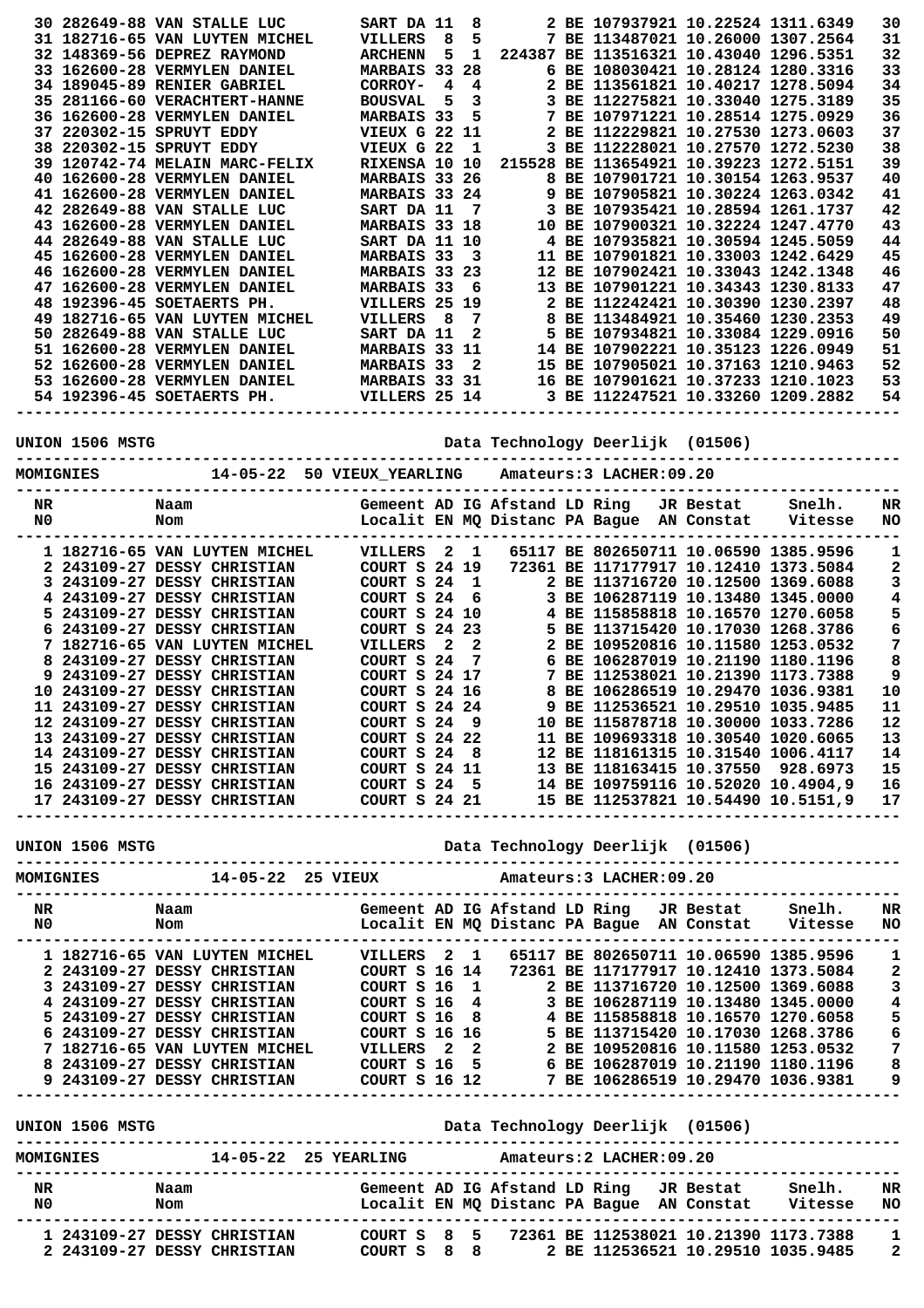|                    |           | 30 282649-88 VAN STALLE LUC                                                                                                                                                                                                        | SART DA 11                                                                                                                                                                                            |      |                                  |  | 2 BE 107937921 10.22524 1311.6349        |                                       | 30                            |
|--------------------|-----------|------------------------------------------------------------------------------------------------------------------------------------------------------------------------------------------------------------------------------------|-------------------------------------------------------------------------------------------------------------------------------------------------------------------------------------------------------|------|----------------------------------|--|------------------------------------------|---------------------------------------|-------------------------------|
|                    |           | 31 182716-65 VAN LUYTEN MICHEL                                                                                                                                                                                                     | VILLERS                                                                                                                                                                                               | 8    | 5                                |  |                                          | 7 BE 113487021 10.26000 1307.2564     | 31                            |
|                    |           | 32 148369-56 DEPREZ RAYMOND                                                                                                                                                                                                        | <b>ARCHENN</b>                                                                                                                                                                                        | 5    |                                  |  | 1 224387 BE 113516321 10.43040 1296.5351 |                                       | 32                            |
|                    |           | 33 162600-28 VERMYLEN DANIEL                                                                                                                                                                                                       | MARBAIS 33 28                                                                                                                                                                                         |      |                                  |  | 6 BE 108030421 10.28124 1280.3316        |                                       | 33                            |
|                    |           | 34 189045-89 RENIER GABRIEL                                                                                                                                                                                                        | CORROY-                                                                                                                                                                                               | 4 4  |                                  |  |                                          | 2 BE 113561821 10.40217 1278.5094     | 34                            |
|                    |           | 35 281166-60 VERACHTERT-HANNE                                                                                                                                                                                                      | <b>BOUSVAL</b>                                                                                                                                                                                        | $-5$ | 3                                |  | 3 BE 112275821 10.33040 1275.3189        |                                       | 35                            |
|                    |           | 36 162600-28 VERMYLEN DANIEL<br>37 220302-15 SPRUYT EDDY                                                                                                                                                                           | <b>MARBAIS 33</b><br><b>VIEUX G 22 11</b>                                                                                                                                                             |      | 5                                |  | 7 BE 107971221 10.28514 1275.0929        | 2 BE 112229821 10.27530 1273.0603     | 36<br>37                      |
|                    |           | 38 220302-15 SPRUYT EDDY                                                                                                                                                                                                           | VIEUX G 22                                                                                                                                                                                            |      | - 1                              |  | 3 BE 112228021 10.27570 1272.5230        |                                       | 38                            |
|                    |           | 39 120742-74 MELAIN MARC-FELIX                                                                                                                                                                                                     | RIXENSA 10 10                                                                                                                                                                                         |      |                                  |  | 215528 BE 113654921 10.39223 1272.5151   |                                       | 39                            |
|                    |           | 40 162600-28 VERMYLEN DANIEL                                                                                                                                                                                                       | MARBAIS 33 26                                                                                                                                                                                         |      |                                  |  |                                          | 8 BE 107901721 10.30154 1263.9537     | 40                            |
|                    |           | 41 162600-28 VERMYLEN DANIEL                                                                                                                                                                                                       | MARBAIS 33 24                                                                                                                                                                                         |      |                                  |  | 9 BE 107905821 10.30224 1263.0342        |                                       | 41                            |
|                    |           | 42 282649-88 VAN STALLE LUC                                                                                                                                                                                                        | SART DA 11                                                                                                                                                                                            |      | 7                                |  |                                          | 3 BE 107935421 10.28594 1261.1737     | 42                            |
|                    |           | 43 162600-28 VERMYLEN DANIEL                                                                                                                                                                                                       | MARBAIS 33 18                                                                                                                                                                                         |      |                                  |  | 10 BE 107900321 10.32224 1247.4770       |                                       | 43                            |
|                    |           | 44 282649-88 VAN STALLE LUC                                                                                                                                                                                                        | SART DA 11 10                                                                                                                                                                                         |      |                                  |  | 4 BE 107935821 10.30594 1245.5059        |                                       | 44                            |
|                    |           | 45 162600-28 VERMYLEN DANIEL                                                                                                                                                                                                       | <b>MARBAIS 33</b>                                                                                                                                                                                     |      | $\overline{\phantom{a}}$         |  | 11 BE 107901821 10.33003 1242.6429       |                                       | 45                            |
|                    |           | 46 162600-28 VERMYLEN DANIEL                                                                                                                                                                                                       | MARBAIS 33 23                                                                                                                                                                                         |      |                                  |  | 12 BE 107902421 10.33043 1242.1348       |                                       | 46                            |
|                    |           | 47 162600-28 VERMYLEN DANIEL                                                                                                                                                                                                       | MARBAIS 33 6                                                                                                                                                                                          |      |                                  |  | 13 BE 107901221 10.34343 1230.8133       |                                       | 47                            |
|                    |           | 48 192396-45 SOETAERTS PH.                                                                                                                                                                                                         | VILLERS 25 19                                                                                                                                                                                         |      |                                  |  |                                          | 2 BE 112242421 10.30390 1230.2397     | 48                            |
|                    |           | 49 182716-65 VAN LUYTEN MICHEL<br>50 282649-88 VAN STALLE LUC                                                                                                                                                                      | VILLERS                                                                                                                                                                                               | - 8  | $\overline{7}$<br>$\overline{2}$ |  | 5 BE 107934821 10.33084 1229.0916        | 8 BE 113484921 10.35460 1230.2353     | 49<br>50                      |
|                    |           | 51 162600-28 VERMYLEN DANIEL                                                                                                                                                                                                       | SART DA 11<br><b>MARBAIS 33 11</b>                                                                                                                                                                    |      |                                  |  | 14 BE 107902221 10.35123 1226.0949       |                                       | 51                            |
|                    |           |                                                                                                                                                                                                                                    |                                                                                                                                                                                                       |      |                                  |  |                                          | 15 BE 107905021 10.37163 1210.9463    | 52                            |
|                    |           |                                                                                                                                                                                                                                    |                                                                                                                                                                                                       |      |                                  |  |                                          | 16 BE 107901621 10.37233 1210.1023    | 53                            |
|                    |           | 52 162600-28 VERMYLEN DANIEL MARBAIS 33 2<br>53 162600-28 VERMYLEN DANIEL MARBAIS 33 31<br>54 192396-45 SOETAERTS PH. VILLERS 25 14                                                                                                |                                                                                                                                                                                                       |      |                                  |  |                                          | 3 BE 112247521 10.33260 1209.2882     | 54                            |
|                    |           |                                                                                                                                                                                                                                    | -------------------                                                                                                                                                                                   |      |                                  |  |                                          | --------                              |                               |
|                    |           |                                                                                                                                                                                                                                    |                                                                                                                                                                                                       |      |                                  |  |                                          |                                       |                               |
|                    |           |                                                                                                                                                                                                                                    |                                                                                                                                                                                                       |      |                                  |  | Data Technology Deerlijk (01506)         |                                       |                               |
|                    | MOMIGNIES |                                                                                                                                                                                                                                    |                                                                                                                                                                                                       |      |                                  |  |                                          |                                       |                               |
|                    |           |                                                                                                                                                                                                                                    |                                                                                                                                                                                                       |      |                                  |  |                                          |                                       |                               |
| NR                 |           | Naam                                                                                                                                                                                                                               |                                                                                                                                                                                                       |      |                                  |  |                                          |                                       | NR                            |
| N0                 |           | Gemeent AD IG Afstand LD Ring JR Bestat Snelh.<br>Localit EN MQ Distanc PA Bague AN Constat Vitesse<br>Nom                                                                                                                         |                                                                                                                                                                                                       |      |                                  |  |                                          |                                       | <b>NO</b>                     |
|                    |           |                                                                                                                                                                                                                                    |                                                                                                                                                                                                       |      |                                  |  |                                          |                                       |                               |
|                    |           | 1 182716-65 VAN LUYTEN MICHEL VILLERS 2 1                                                                                                                                                                                          |                                                                                                                                                                                                       |      |                                  |  |                                          | 65117 BE 802650711 10.06590 1385.9596 | 1                             |
|                    |           | 2 243109-27 DESSY CHRISTIAN                                                                                                                                                                                                        | COURT S 24 19 72<br>COURT S 24 1                                                                                                                                                                      |      |                                  |  |                                          | 72361 BE 117177917 10.12410 1373.5084 | 2                             |
|                    |           | 3 243109-27 DESSY CHRISTIAN                                                                                                                                                                                                        |                                                                                                                                                                                                       |      |                                  |  | 2 BE 113716720 10.12500 1369.6088        |                                       | 3                             |
|                    |           | 4 243109-27 DESSY CHRISTIAN                                                                                                                                                                                                        |                                                                                                                                                                                                       |      |                                  |  |                                          |                                       | 4                             |
|                    |           | 5 243109-27 DESSY CHRISTIAN                                                                                                                                                                                                        |                                                                                                                                                                                                       |      |                                  |  |                                          |                                       | 5                             |
|                    |           | 6 243109-27 DESSY CHRISTIAN                                                                                                                                                                                                        | COURT S 24 6 3 BE 106287119 10.13480 1345.0000<br>COURT S 24 10 4 BE 115858818 10.16570 1270.6058<br>COURT S 24 23 5 BE 113715420 10.17030 1268.3786<br>VILLERS 2 2 2 BE 109520816 10.11580 1253.0532 |      |                                  |  |                                          |                                       | 6                             |
|                    |           | 7 182716-65 VAN LUYTEN MICHEL                                                                                                                                                                                                      | COURT S 24                                                                                                                                                                                            |      |                                  |  | 6 BE 106287019 10.21190 1180.1196        |                                       | 7                             |
|                    |           | 8 243109-27 DESSY CHRISTIAN<br>9 243109-27 DESSY CHRISTIAN                                                                                                                                                                         | COURT S 24 17                                                                                                                                                                                         |      | $\overline{7}$                   |  |                                          | 7 BE 112538021 10.21390 1173.7388     | 8<br>$\overline{\phantom{a}}$ |
|                    |           |                                                                                                                                                                                                                                    |                                                                                                                                                                                                       |      |                                  |  |                                          |                                       |                               |
|                    |           |                                                                                                                                                                                                                                    |                                                                                                                                                                                                       |      |                                  |  |                                          |                                       |                               |
|                    |           |                                                                                                                                                                                                                                    |                                                                                                                                                                                                       |      |                                  |  |                                          |                                       |                               |
|                    |           |                                                                                                                                                                                                                                    |                                                                                                                                                                                                       |      |                                  |  |                                          |                                       |                               |
|                    |           |                                                                                                                                                                                                                                    |                                                                                                                                                                                                       |      |                                  |  |                                          |                                       |                               |
|                    |           |                                                                                                                                                                                                                                    |                                                                                                                                                                                                       |      |                                  |  |                                          |                                       |                               |
|                    |           |                                                                                                                                                                                                                                    |                                                                                                                                                                                                       |      |                                  |  |                                          |                                       |                               |
|                    |           |                                                                                                                                                                                                                                    |                                                                                                                                                                                                       |      |                                  |  |                                          |                                       |                               |
|                    |           | 9 243109-27 DESSY CHRISTIAN COURT S 24 17 7 BE 112538021 10.21390 1173.7388 9<br>10 243109-27 DESSY CHRISTIAN COURT S 24 24 8 BE 106286519 10.29510 1035.9485 10<br>12 243109-27 DESSY CHRISTIAN COURT S 24 9 10 BE 115878718 10.3 |                                                                                                                                                                                                       |      |                                  |  |                                          |                                       |                               |
|                    |           |                                                                                                                                                                                                                                    |                                                                                                                                                                                                       |      |                                  |  |                                          |                                       |                               |
|                    |           |                                                                                                                                                                                                                                    |                                                                                                                                                                                                       |      |                                  |  |                                          |                                       |                               |
|                    |           |                                                                                                                                                                                                                                    |                                                                                                                                                                                                       |      |                                  |  |                                          |                                       |                               |
|                    |           |                                                                                                                                                                                                                                    |                                                                                                                                                                                                       |      |                                  |  |                                          |                                       |                               |
|                    |           |                                                                                                                                                                                                                                    |                                                                                                                                                                                                       |      |                                  |  |                                          |                                       |                               |
|                    |           |                                                                                                                                                                                                                                    |                                                                                                                                                                                                       |      |                                  |  |                                          |                                       |                               |
|                    |           |                                                                                                                                                                                                                                    |                                                                                                                                                                                                       |      |                                  |  |                                          |                                       |                               |
|                    |           |                                                                                                                                                                                                                                    |                                                                                                                                                                                                       |      |                                  |  |                                          |                                       |                               |
|                    |           |                                                                                                                                                                                                                                    |                                                                                                                                                                                                       |      |                                  |  |                                          |                                       |                               |
|                    |           |                                                                                                                                                                                                                                    |                                                                                                                                                                                                       |      |                                  |  |                                          |                                       |                               |
|                    |           |                                                                                                                                                                                                                                    |                                                                                                                                                                                                       |      |                                  |  |                                          |                                       |                               |
|                    |           |                                                                                                                                                                                                                                    |                                                                                                                                                                                                       |      |                                  |  |                                          |                                       |                               |
|                    |           |                                                                                                                                                                                                                                    |                                                                                                                                                                                                       |      |                                  |  |                                          |                                       |                               |
|                    |           |                                                                                                                                                                                                                                    |                                                                                                                                                                                                       |      |                                  |  |                                          |                                       |                               |
|                    |           |                                                                                                                                                                                                                                    |                                                                                                                                                                                                       |      |                                  |  |                                          |                                       |                               |
|                    |           |                                                                                                                                                                                                                                    |                                                                                                                                                                                                       |      |                                  |  |                                          |                                       |                               |
|                    |           |                                                                                                                                                                                                                                    |                                                                                                                                                                                                       |      |                                  |  |                                          |                                       |                               |
|                    |           |                                                                                                                                                                                                                                    |                                                                                                                                                                                                       |      |                                  |  |                                          |                                       |                               |
|                    |           |                                                                                                                                                                                                                                    |                                                                                                                                                                                                       |      |                                  |  |                                          |                                       |                               |
|                    |           |                                                                                                                                                                                                                                    |                                                                                                                                                                                                       |      |                                  |  |                                          |                                       |                               |
|                    |           |                                                                                                                                                                                                                                    |                                                                                                                                                                                                       |      |                                  |  |                                          |                                       |                               |
|                    |           |                                                                                                                                                                                                                                    |                                                                                                                                                                                                       |      |                                  |  |                                          |                                       |                               |
| $_{\rm NR}$<br>N0. |           | Naam                   Gemeent AD IG Afstand LD Ring   JR Bestat     Snelh.    NR<br>Nom                             Localit EN MQ Distanc PA Bague  AN Constat    Vitesse   NO                                                    |                                                                                                                                                                                                       |      |                                  |  |                                          |                                       |                               |

**----------------------------------------------------------------------------------------------- 1 243109-27 DESSY CHRISTIAN COURT S 8 5 72361 BE 112538021 10.21390 1173.7388 1 2 243109-27 DESSY CHRISTIAN COURT S 8 8 2 BE 112536521 10.29510 1035.9485 2**